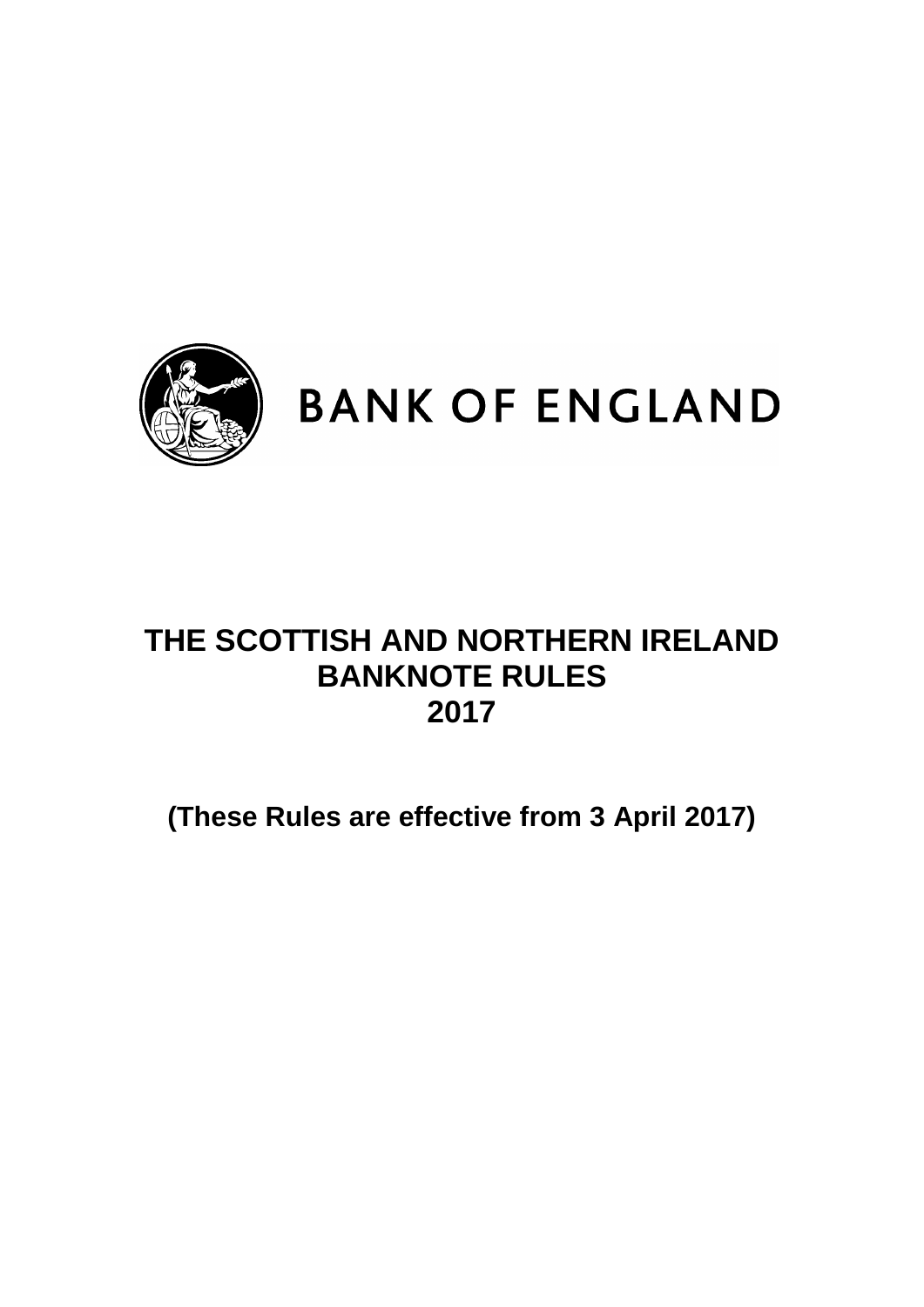

# **BANK OF ENGLAND**

# **THE SCOTTISH AND NORTHERN IRELAND BANKNOTE RULES 2017**

**(These Rules are effective from 3 April 2017)**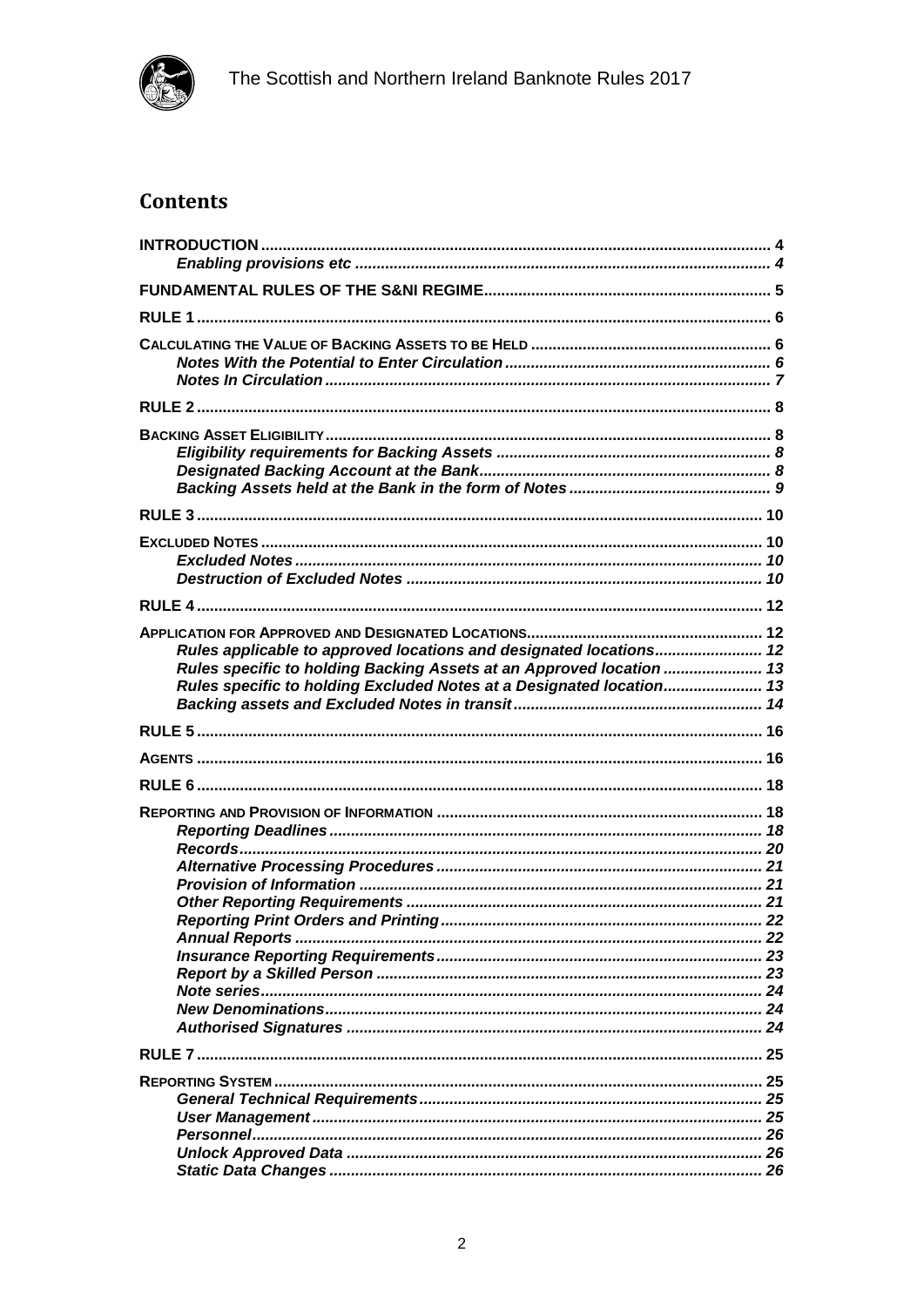

# **Contents**

| Rules applicable to approved locations and designated locations 12<br>Rules specific to holding Backing Assets at an Approved location  13<br>Rules specific to holding Excluded Notes at a Designated location 13 |  |
|--------------------------------------------------------------------------------------------------------------------------------------------------------------------------------------------------------------------|--|
|                                                                                                                                                                                                                    |  |
|                                                                                                                                                                                                                    |  |
|                                                                                                                                                                                                                    |  |
|                                                                                                                                                                                                                    |  |
|                                                                                                                                                                                                                    |  |
|                                                                                                                                                                                                                    |  |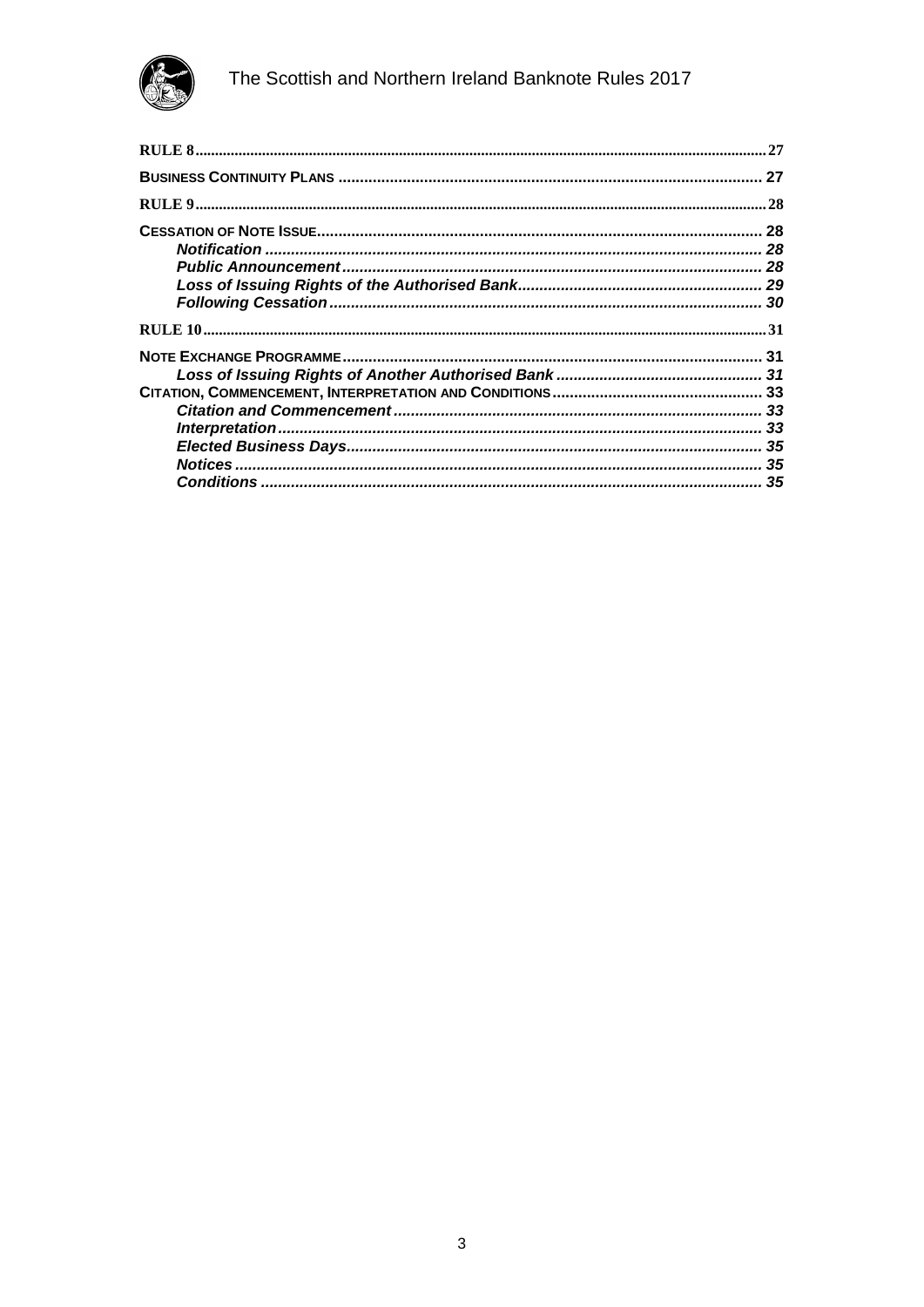

| 27  |
|-----|
| .28 |
| 28  |
| 28  |
|     |
|     |
| 30  |
|     |
| 31  |
|     |
|     |
|     |
|     |
|     |
|     |
|     |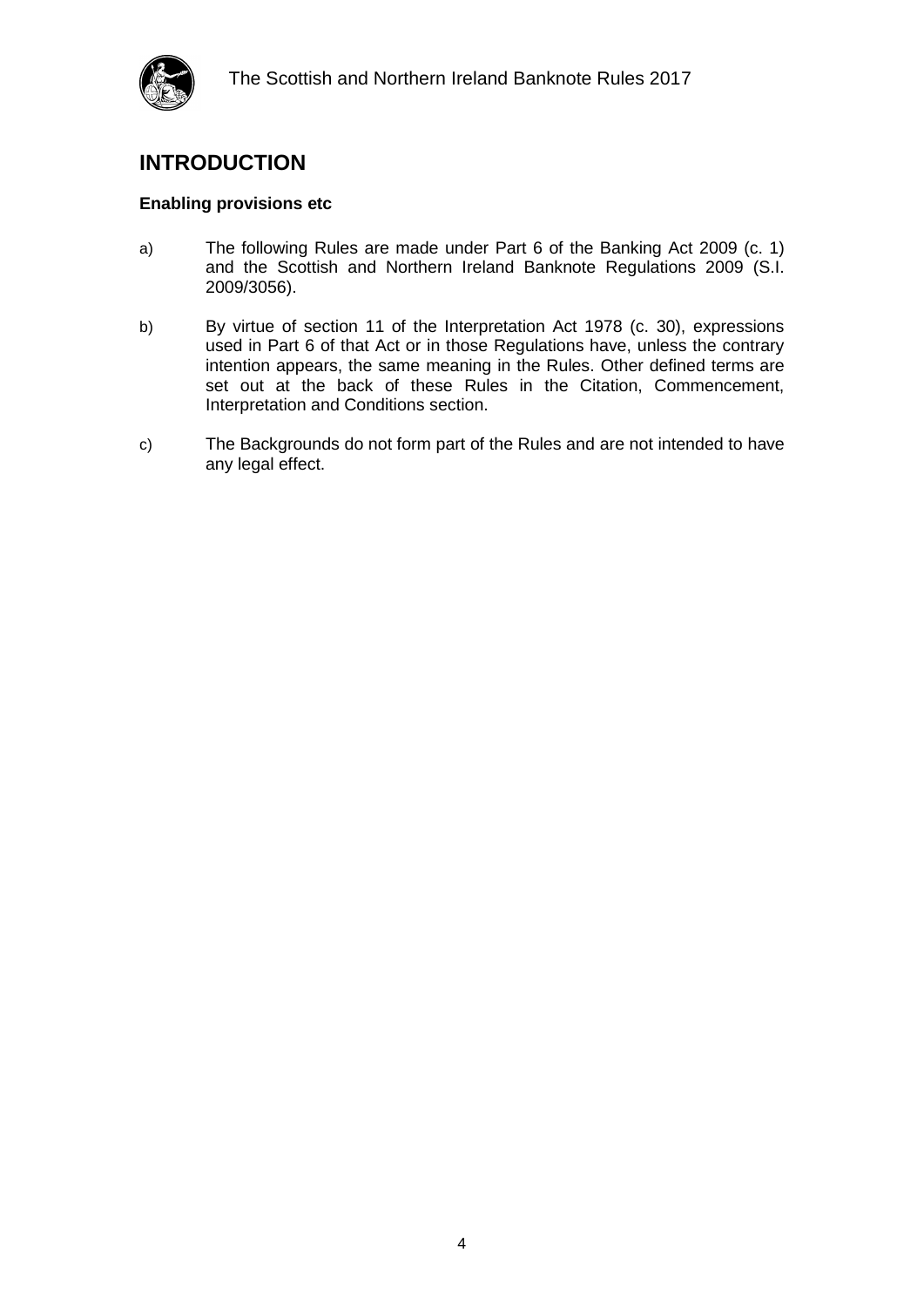### <span id="page-3-0"></span>**INTRODUCTION**

#### <span id="page-3-1"></span>**Enabling provisions etc**

- a) The following Rules are made under Part 6 of the Banking Act 2009 (c. 1) and the Scottish and Northern Ireland Banknote Regulations 2009 (S.I. 2009/3056).
- b) By virtue of section 11 of the Interpretation Act 1978 (c. 30), expressions used in Part 6 of that Act or in those Regulations have, unless the contrary intention appears, the same meaning in the Rules. Other defined terms are set out at the back of these Rules in the Citation, Commencement, Interpretation and Conditions section.
- c) The Backgrounds do not form part of the Rules and are not intended to have any legal effect.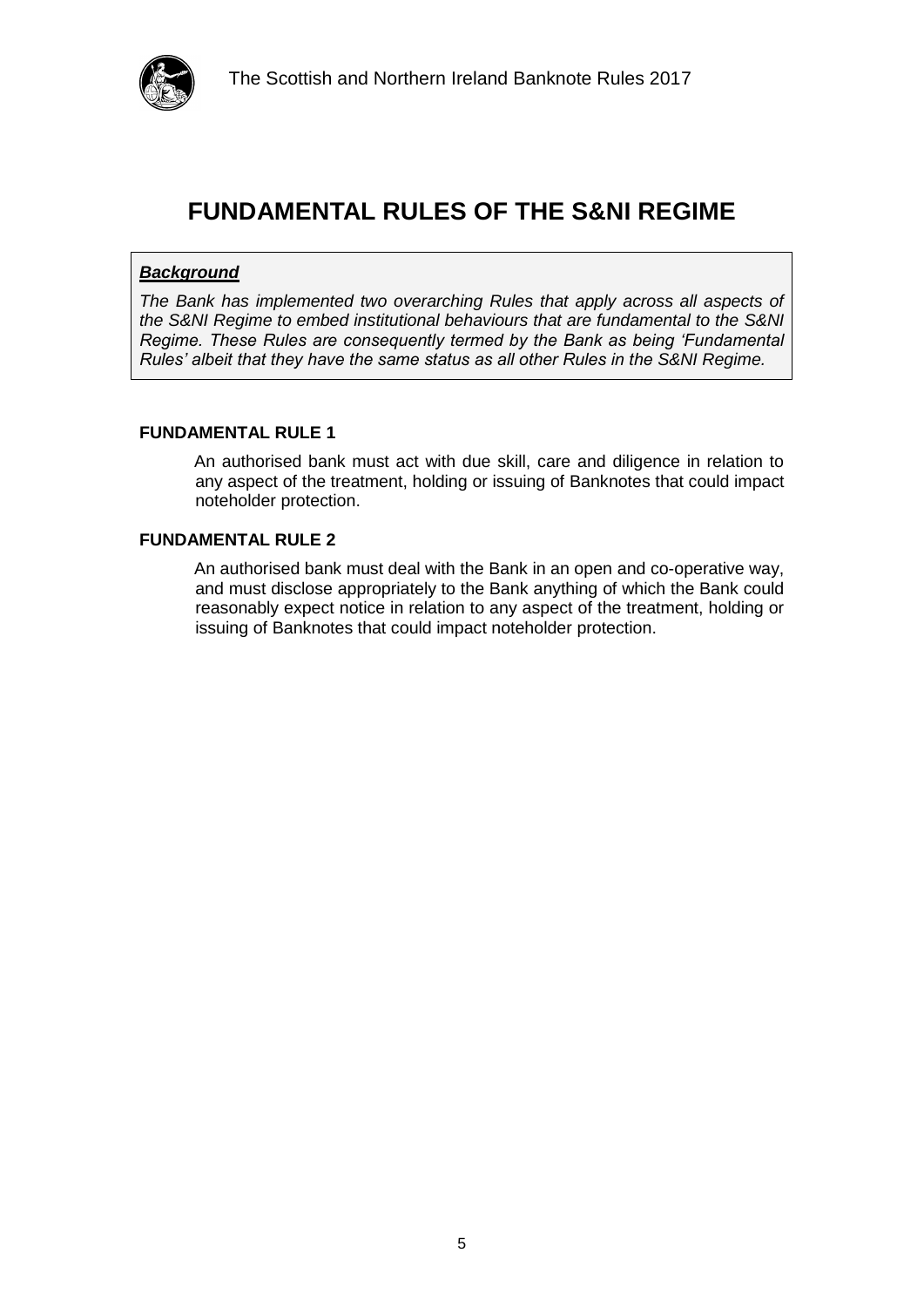

### <span id="page-4-0"></span>**FUNDAMENTAL RULES OF THE S&NI REGIME**

#### *Background*

*The Bank has implemented two overarching Rules that apply across all aspects of the S&NI Regime to embed institutional behaviours that are fundamental to the S&NI Regime. These Rules are consequently termed by the Bank as being 'Fundamental Rules' albeit that they have the same status as all other Rules in the S&NI Regime.*

#### **FUNDAMENTAL RULE 1**

An authorised bank must act with due skill, care and diligence in relation to any aspect of the treatment, holding or issuing of Banknotes that could impact noteholder protection.

#### **FUNDAMENTAL RULE 2**

An authorised bank must deal with the Bank in an open and co-operative way, and must disclose appropriately to the Bank anything of which the Bank could reasonably expect notice in relation to any aspect of the treatment, holding or issuing of Banknotes that could impact noteholder protection.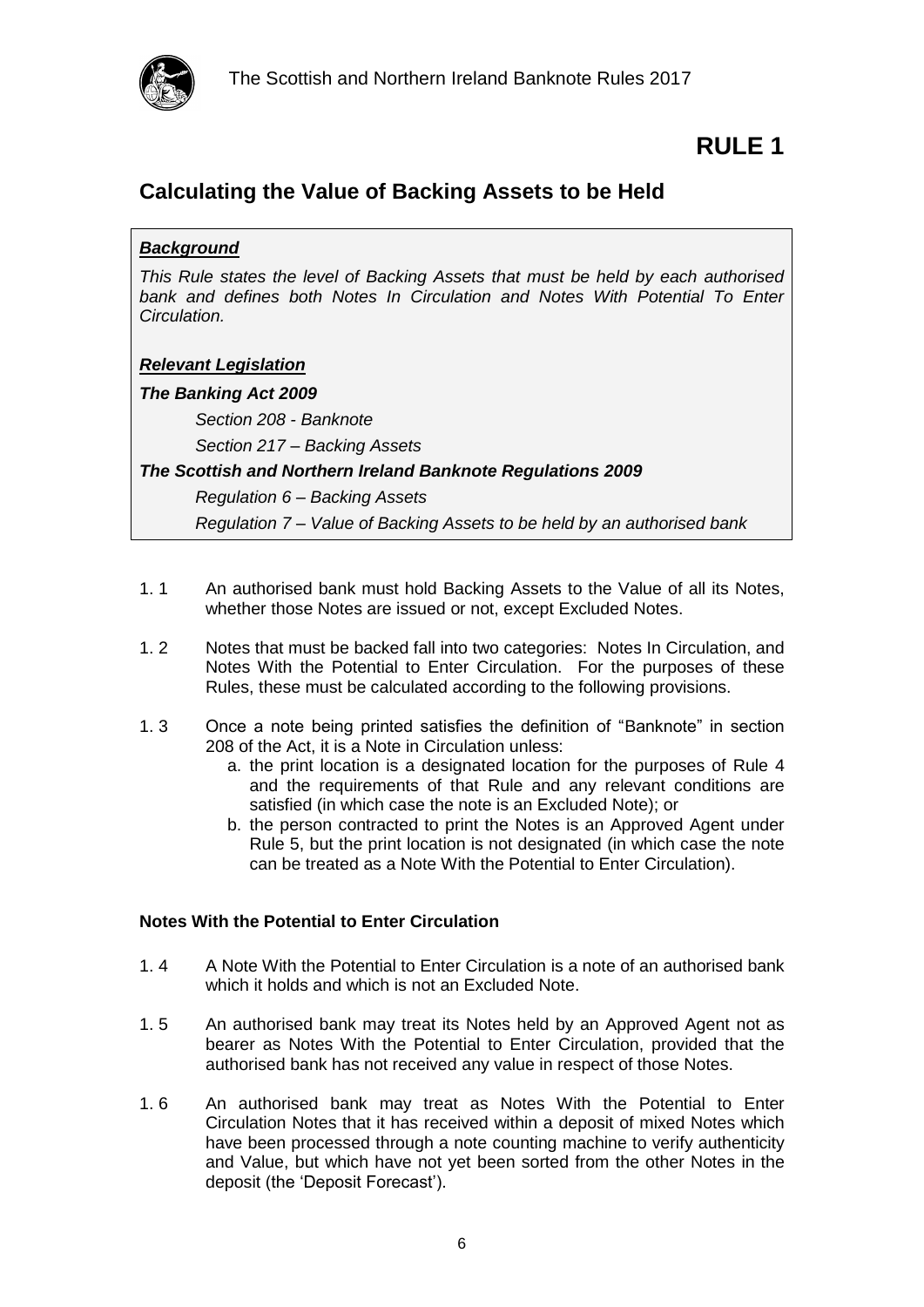

### <span id="page-5-1"></span><span id="page-5-0"></span>**Calculating the Value of Backing Assets to be Held**

#### *Background*

*This Rule states the level of Backing Assets that must be held by each authorised*  bank and defines both Notes In Circulation and Notes With Potential To Enter *Circulation.*

#### *Relevant Legislation*

#### *The Banking Act 2009*

*Section 208 - Banknote*

*Section 217 – Backing Assets*

#### *The Scottish and Northern Ireland Banknote Regulations 2009*

*Regulation 6 – Backing Assets*

*Regulation 7 – Value of Backing Assets to be held by an authorised bank*

- 1. 1 An authorised bank must hold Backing Assets to the Value of all its Notes, whether those Notes are issued or not, except Excluded Notes.
- 1. 2 Notes that must be backed fall into two categories: Notes In Circulation, and Notes With the Potential to Enter Circulation. For the purposes of these Rules, these must be calculated according to the following provisions.
- 1. 3 Once a note being printed satisfies the definition of "Banknote" in section 208 of the Act, it is a Note in Circulation unless:
	- a. the print location is a designated location for the purposes of Rule 4 and the requirements of that Rule and any relevant conditions are satisfied (in which case the note is an Excluded Note); or
	- b. the person contracted to print the Notes is an Approved Agent under Rule 5, but the print location is not designated (in which case the note can be treated as a Note With the Potential to Enter Circulation).

#### <span id="page-5-2"></span>**Notes With the Potential to Enter Circulation**

- 1. 4 A Note With the Potential to Enter Circulation is a note of an authorised bank which it holds and which is not an Excluded Note.
- 1. 5 An authorised bank may treat its Notes held by an Approved Agent not as bearer as Notes With the Potential to Enter Circulation, provided that the authorised bank has not received any value in respect of those Notes.
- <span id="page-5-3"></span>1. 6 An authorised bank may treat as Notes With the Potential to Enter Circulation Notes that it has received within a deposit of mixed Notes which have been processed through a note counting machine to verify authenticity and Value, but which have not yet been sorted from the other Notes in the deposit (the 'Deposit Forecast').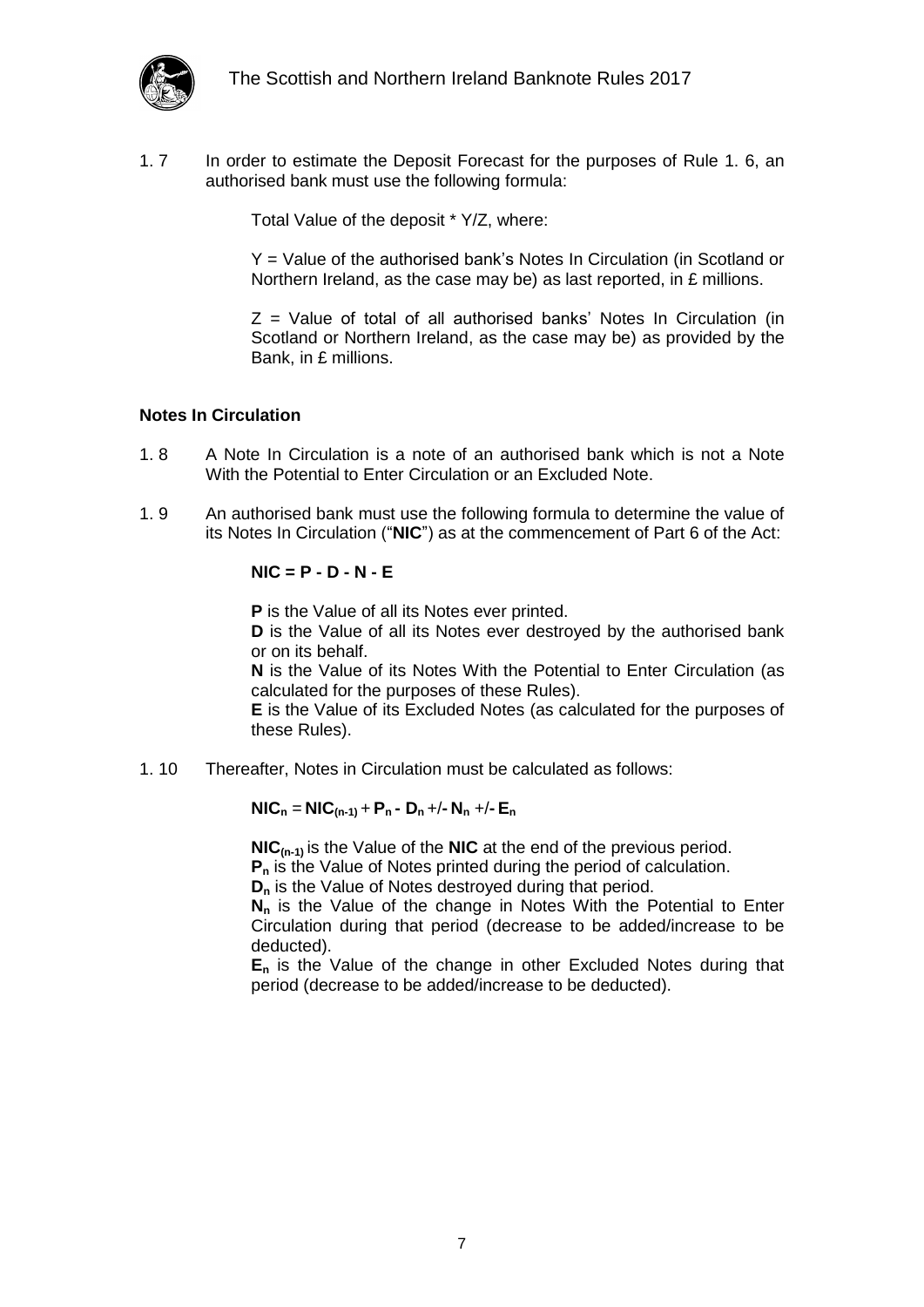

1. 7 In order to estimate the Deposit Forecast for the purposes of Rule [1. 6,](#page-5-3) an authorised bank must use the following formula:

Total Value of the deposit \* Y/Z, where:

Y = Value of the authorised bank's Notes In Circulation (in Scotland or Northern Ireland, as the case may be) as last reported, in £ millions.

 $Z =$  Value of total of all authorised banks' Notes In Circulation (in Scotland or Northern Ireland, as the case may be) as provided by the Bank, in £ millions.

#### <span id="page-6-0"></span>**Notes In Circulation**

- 1. 8 A Note In Circulation is a note of an authorised bank which is not a Note With the Potential to Enter Circulation or an Excluded Note.
- 1. 9 An authorised bank must use the following formula to determine the value of its Notes In Circulation ("**NIC**") as at the commencement of Part 6 of the Act:

#### **NIC = P - D - N - E**

**P** is the Value of all its Notes ever printed.

**D** is the Value of all its Notes ever destroyed by the authorised bank or on its behalf.

**N** is the Value of its Notes With the Potential to Enter Circulation (as calculated for the purposes of these Rules).

**E** is the Value of its Excluded Notes (as calculated for the purposes of these Rules).

1. 10 Thereafter, Notes in Circulation must be calculated as follows:

#### $NIC_n = NIC_{(n-1)} + P_n - D_n + (-N_n) + (-E_n)$

**NIC(n-1)** is the Value of the **NIC** at the end of the previous period. **P<sup>n</sup>** is the Value of Notes printed during the period of calculation.

**D<sup>n</sup>** is the Value of Notes destroyed during that period.

**N<sup>n</sup>** is the Value of the change in Notes With the Potential to Enter Circulation during that period (decrease to be added/increase to be deducted).

**E<sup>n</sup>** is the Value of the change in other Excluded Notes during that period (decrease to be added/increase to be deducted).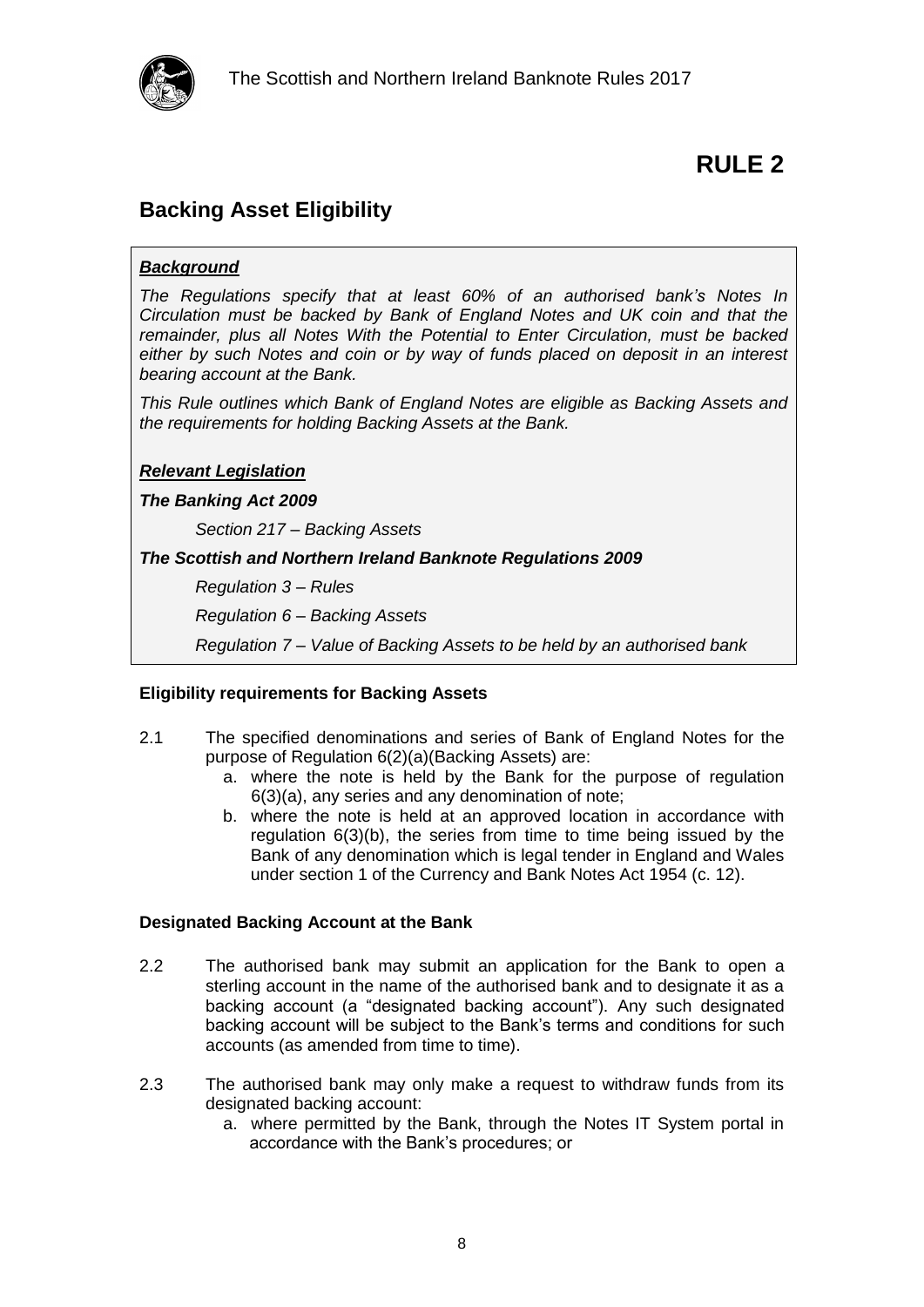

### <span id="page-7-1"></span><span id="page-7-0"></span>**Backing Asset Eligibility**

#### *Background*

*The Regulations specify that at least 60% of an authorised bank's Notes In Circulation must be backed by Bank of England Notes and UK coin and that the remainder, plus all Notes With the Potential to Enter Circulation, must be backed either by such Notes and coin or by way of funds placed on deposit in an interest bearing account at the Bank.*

*This Rule outlines which Bank of England Notes are eligible as Backing Assets and the requirements for holding Backing Assets at the Bank.*

#### *Relevant Legislation*

#### *The Banking Act 2009*

*Section 217 – Backing Assets*

#### *The Scottish and Northern Ireland Banknote Regulations 2009*

*Regulation 3 – Rules*

*Regulation 6 – Backing Assets*

*Regulation 7 – Value of Backing Assets to be held by an authorised bank*

#### <span id="page-7-2"></span>**Eligibility requirements for Backing Assets**

- 2.1 The specified denominations and series of Bank of England Notes for the purpose of Regulation 6(2)(a)(Backing Assets) are:
	- a. where the note is held by the Bank for the purpose of regulation 6(3)(a), any series and any denomination of note;
	- b. where the note is held at an approved location in accordance with regulation 6(3)(b), the series from time to time being issued by the Bank of any denomination which is legal tender in England and Wales under section 1 of the Currency and Bank Notes Act 1954 (c. 12).

#### <span id="page-7-3"></span>**Designated Backing Account at the Bank**

- 2.2 The authorised bank may submit an application for the Bank to open a sterling account in the name of the authorised bank and to designate it as a backing account (a "designated backing account"). Any such designated backing account will be subject to the Bank's terms and conditions for such accounts (as amended from time to time).
- 2.3 The authorised bank may only make a request to withdraw funds from its designated backing account:
	- a. where permitted by the Bank, through the Notes IT System portal in accordance with the Bank's procedures; or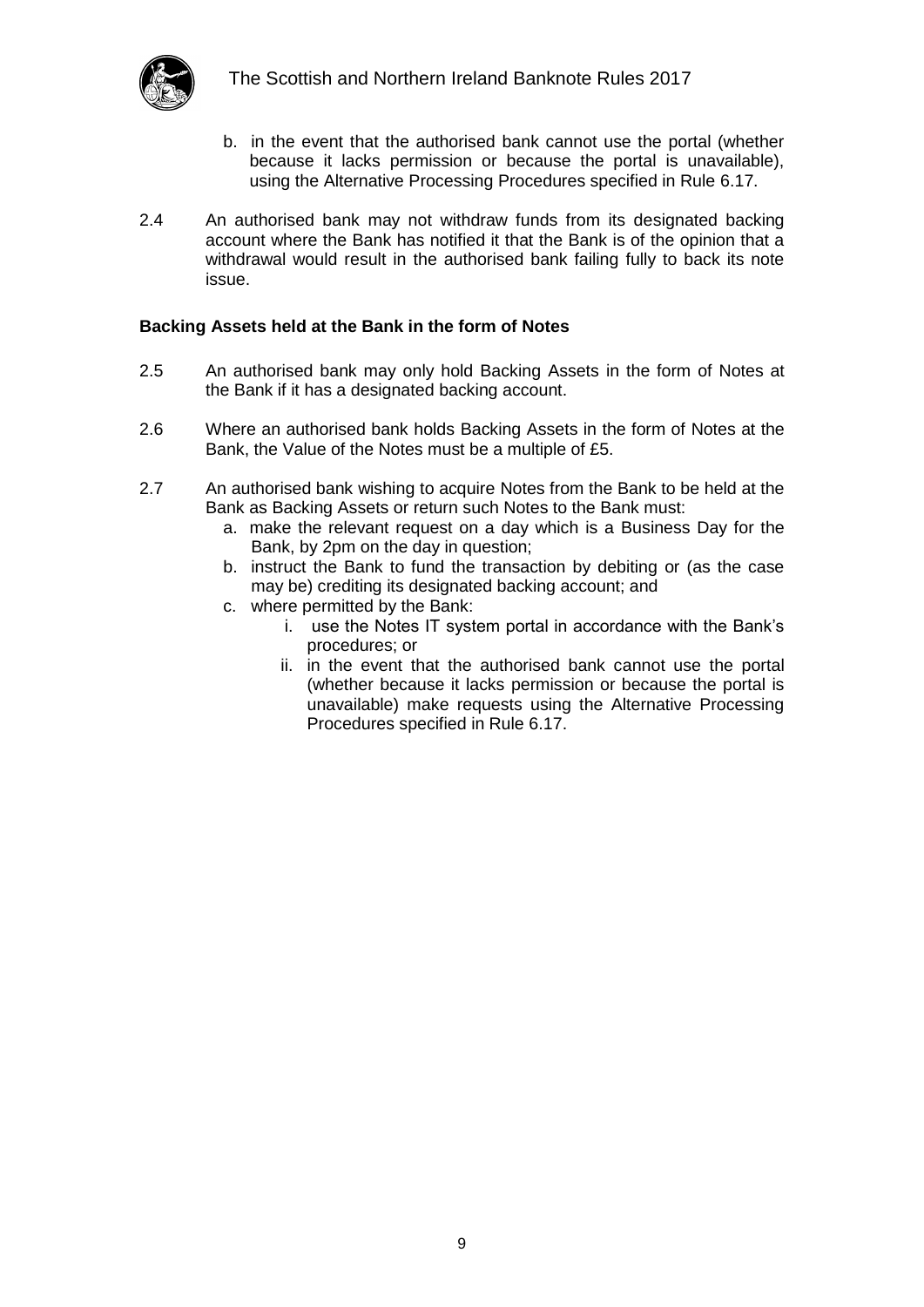

- b. in the event that the authorised bank cannot use the portal (whether because it lacks permission or because the portal is unavailable), using the Alternative Processing Procedures specified in Rule 6.17.
- 2.4 An authorised bank may not withdraw funds from its designated backing account where the Bank has notified it that the Bank is of the opinion that a withdrawal would result in the authorised bank failing fully to back its note issue.

#### <span id="page-8-0"></span>**Backing Assets held at the Bank in the form of Notes**

- 2.5 An authorised bank may only hold Backing Assets in the form of Notes at the Bank if it has a designated backing account.
- 2.6 Where an authorised bank holds Backing Assets in the form of Notes at the Bank, the Value of the Notes must be a multiple of £5.
- 2.7 An authorised bank wishing to acquire Notes from the Bank to be held at the Bank as Backing Assets or return such Notes to the Bank must:
	- a. make the relevant request on a day which is a Business Day for the Bank, by 2pm on the day in question;
	- b. instruct the Bank to fund the transaction by debiting or (as the case may be) crediting its designated backing account; and
	- c. where permitted by the Bank:
		- i. use the Notes IT system portal in accordance with the Bank's procedures; or
		- ii. in the event that the authorised bank cannot use the portal (whether because it lacks permission or because the portal is unavailable) make requests using the Alternative Processing Procedures specified in Rule 6.17.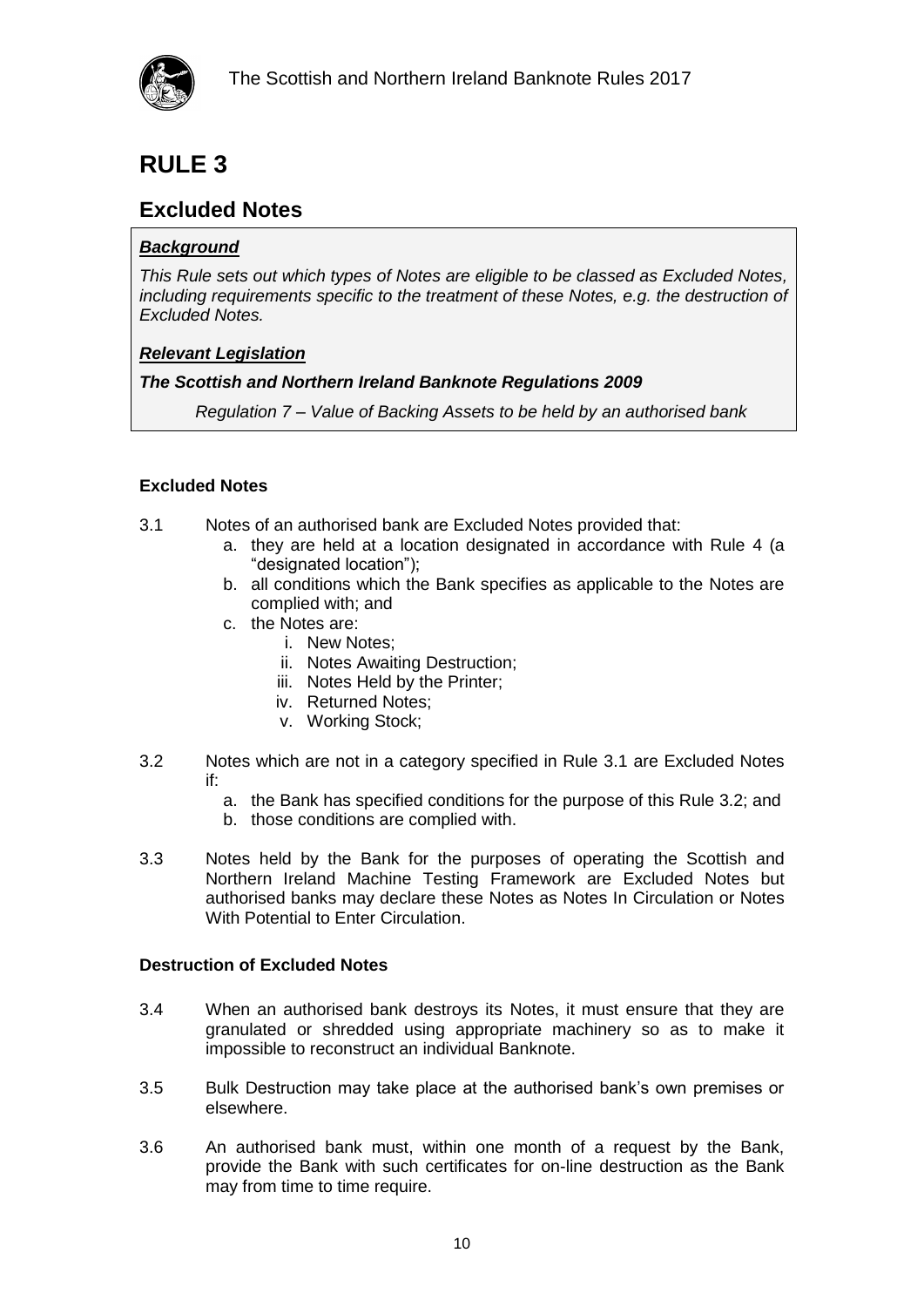

### <span id="page-9-1"></span><span id="page-9-0"></span>**Excluded Notes**

#### *Background*

*This Rule sets out which types of Notes are eligible to be classed as Excluded Notes, including requirements specific to the treatment of these Notes, e.g. the destruction of Excluded Notes.*

#### *Relevant Legislation*

#### *The Scottish and Northern Ireland Banknote Regulations 2009*

*Regulation 7 – Value of Backing Assets to be held by an authorised bank* 

#### <span id="page-9-2"></span>**Excluded Notes**

- 3.1 Notes of an authorised bank are Excluded Notes provided that:
	- a. they are held at a location designated in accordance with Rule 4 (a "designated location");
	- b. all conditions which the Bank specifies as applicable to the Notes are complied with; and
	- c. the Notes are:
		- i. New Notes;
		- ii. Notes Awaiting Destruction;
		- iii. Notes Held by the Printer;
		- iv. Returned Notes;
		- v. Working Stock;
- 3.2 Notes which are not in a category specified in Rule 3.1 are Excluded Notes if:
	- a. the Bank has specified conditions for the purpose of this Rule 3.2; and
	- b. those conditions are complied with.
- 3.3 Notes held by the Bank for the purposes of operating the Scottish and Northern Ireland Machine Testing Framework are Excluded Notes but authorised banks may declare these Notes as Notes In Circulation or Notes With Potential to Enter Circulation.

#### <span id="page-9-3"></span>**Destruction of Excluded Notes**

- 3.4 When an authorised bank destroys its Notes, it must ensure that they are granulated or shredded using appropriate machinery so as to make it impossible to reconstruct an individual Banknote.
- 3.5 Bulk Destruction may take place at the authorised bank's own premises or elsewhere.
- 3.6 An authorised bank must, within one month of a request by the Bank, provide the Bank with such certificates for on-line destruction as the Bank may from time to time require.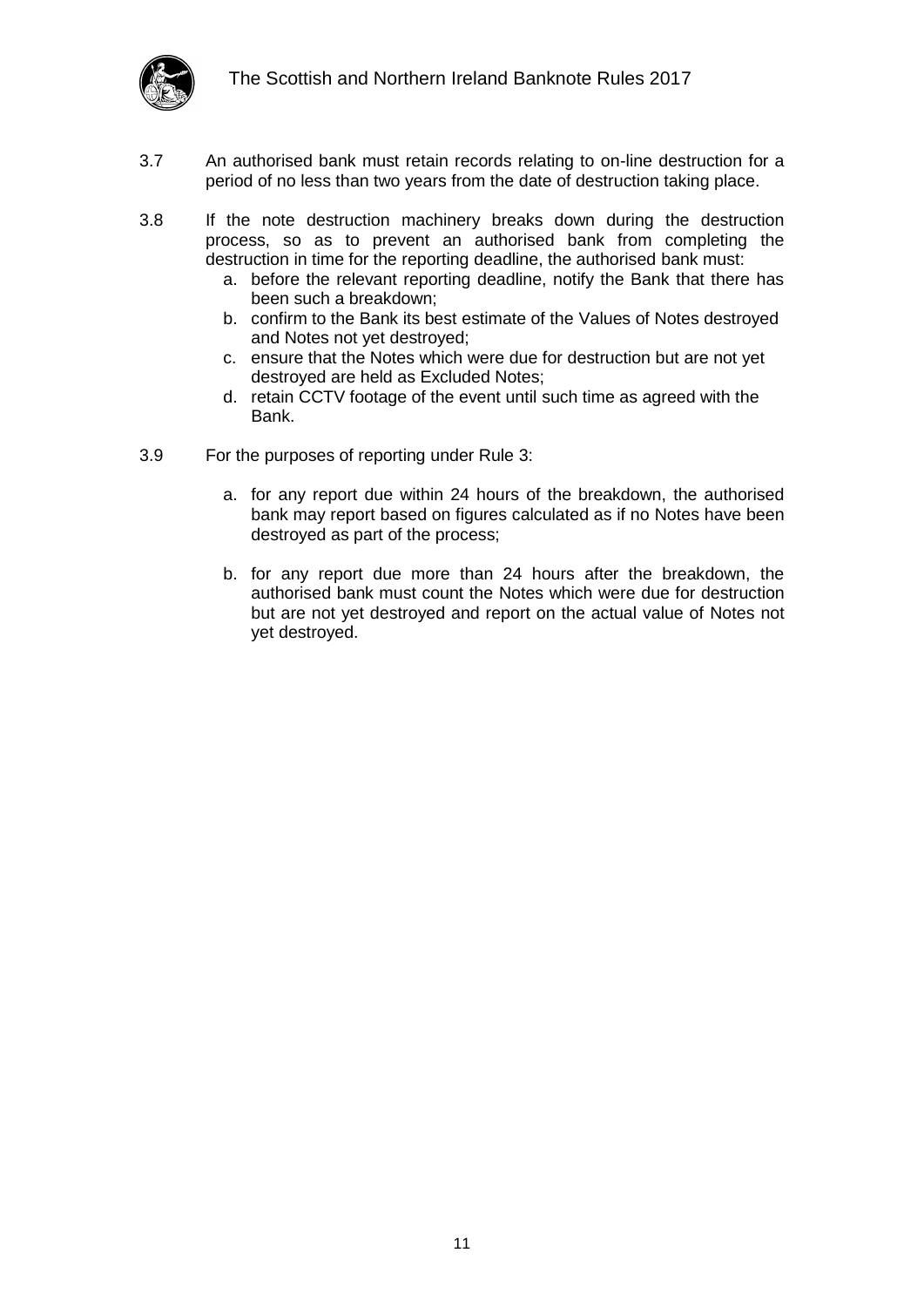

- 3.7 An authorised bank must retain records relating to on-line destruction for a period of no less than two years from the date of destruction taking place.
- 3.8 If the note destruction machinery breaks down during the destruction process, so as to prevent an authorised bank from completing the destruction in time for the reporting deadline, the authorised bank must:
	- a. before the relevant reporting deadline, notify the Bank that there has been such a breakdown;
	- b. confirm to the Bank its best estimate of the Values of Notes destroyed and Notes not yet destroyed;
	- c. ensure that the Notes which were due for destruction but are not yet destroyed are held as Excluded Notes;
	- d. retain CCTV footage of the event until such time as agreed with the Bank.
- 3.9 For the purposes of reporting under Rule 3:
	- a. for any report due within 24 hours of the breakdown, the authorised bank may report based on figures calculated as if no Notes have been destroyed as part of the process;
	- b. for any report due more than 24 hours after the breakdown, the authorised bank must count the Notes which were due for destruction but are not yet destroyed and report on the actual value of Notes not yet destroyed.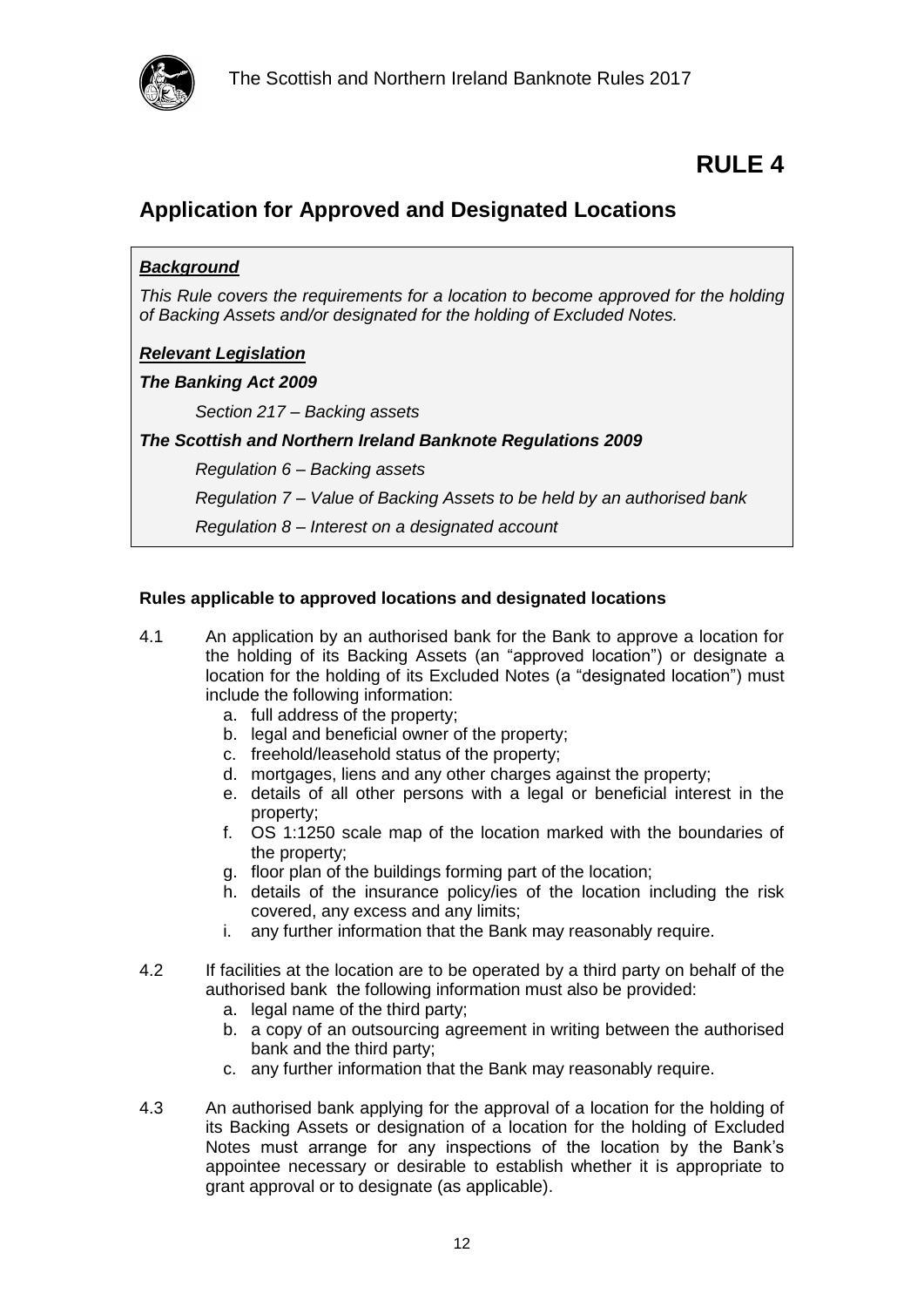

### <span id="page-11-1"></span><span id="page-11-0"></span>**Application for Approved and Designated Locations**

#### *Background*

*This Rule covers the requirements for a location to become approved for the holding of Backing Assets and/or designated for the holding of Excluded Notes.* 

#### *Relevant Legislation*

#### *The Banking Act 2009*

*Section 217 – Backing assets*

*The Scottish and Northern Ireland Banknote Regulations 2009*

*Regulation 6 – Backing assets*

*Regulation 7 – Value of Backing Assets to be held by an authorised bank*

*Regulation 8 – Interest on a designated account*

#### <span id="page-11-2"></span>**Rules applicable to approved locations and designated locations**

- 4.1 An application by an authorised bank for the Bank to approve a location for the holding of its Backing Assets (an "approved location") or designate a location for the holding of its Excluded Notes (a "designated location") must include the following information:
	- a. full address of the property;
	- b. legal and beneficial owner of the property;
	- c. freehold/leasehold status of the property;
	- d. mortgages, liens and any other charges against the property;
	- e. details of all other persons with a legal or beneficial interest in the property;
	- f. OS 1:1250 scale map of the location marked with the boundaries of the property;
	- g. floor plan of the buildings forming part of the location;
	- h. details of the insurance policy/ies of the location including the risk covered, any excess and any limits;
	- i. any further information that the Bank may reasonably require.
- 4.2 If facilities at the location are to be operated by a third party on behalf of the authorised bank the following information must also be provided:
	- a. legal name of the third party;
	- b. a copy of an outsourcing agreement in writing between the authorised bank and the third party;
	- c. any further information that the Bank may reasonably require.
- 4.3 An authorised bank applying for the approval of a location for the holding of its Backing Assets or designation of a location for the holding of Excluded Notes must arrange for any inspections of the location by the Bank's appointee necessary or desirable to establish whether it is appropriate to grant approval or to designate (as applicable).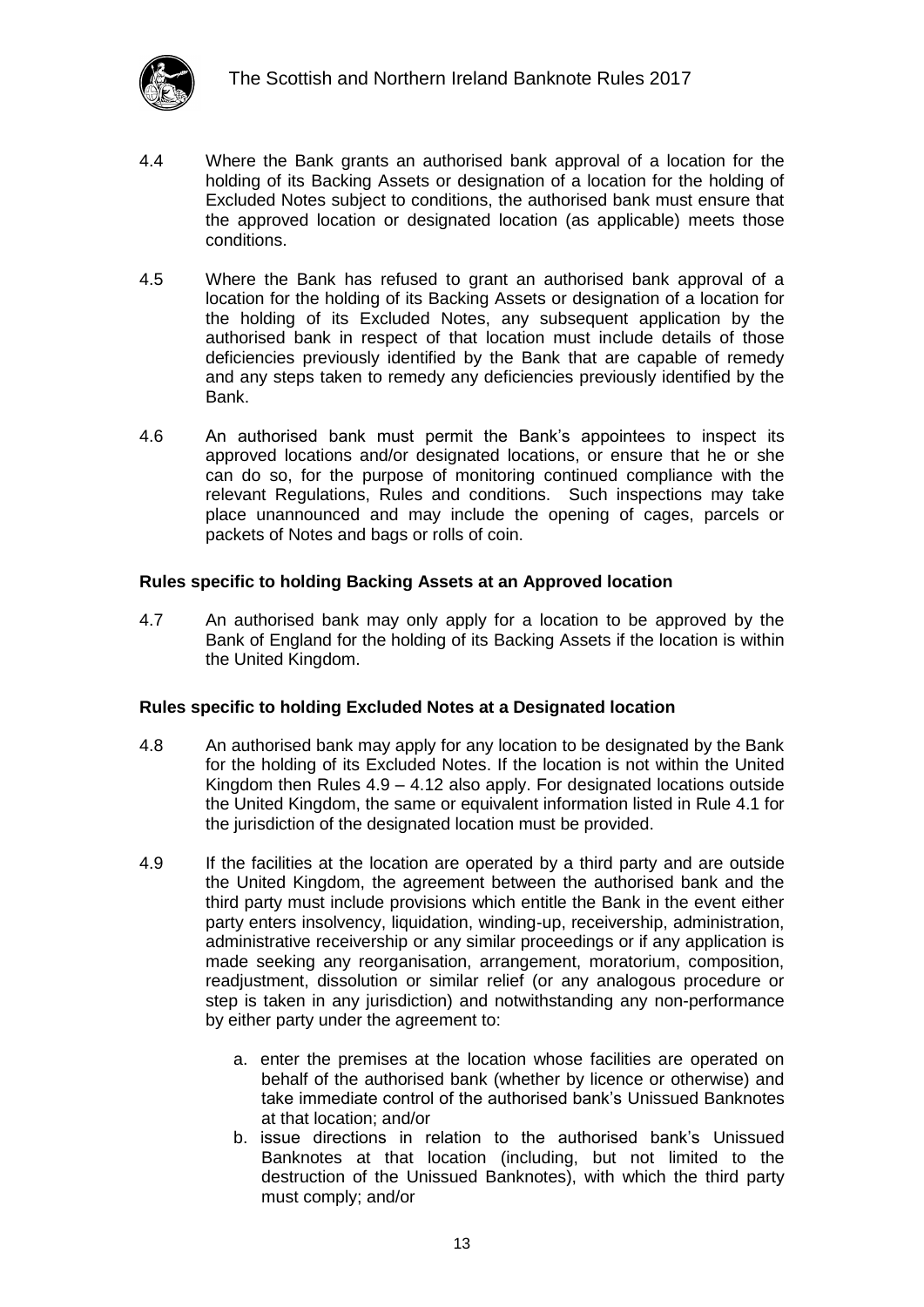

- 4.4 Where the Bank grants an authorised bank approval of a location for the holding of its Backing Assets or designation of a location for the holding of Excluded Notes subject to conditions, the authorised bank must ensure that the approved location or designated location (as applicable) meets those conditions.
- 4.5 Where the Bank has refused to grant an authorised bank approval of a location for the holding of its Backing Assets or designation of a location for the holding of its Excluded Notes, any subsequent application by the authorised bank in respect of that location must include details of those deficiencies previously identified by the Bank that are capable of remedy and any steps taken to remedy any deficiencies previously identified by the Bank.
- 4.6 An authorised bank must permit the Bank's appointees to inspect its approved locations and/or designated locations, or ensure that he or she can do so, for the purpose of monitoring continued compliance with the relevant Regulations, Rules and conditions. Such inspections may take place unannounced and may include the opening of cages, parcels or packets of Notes and bags or rolls of coin.

#### <span id="page-12-0"></span>**Rules specific to holding Backing Assets at an Approved location**

4.7 An authorised bank may only apply for a location to be approved by the Bank of England for the holding of its Backing Assets if the location is within the United Kingdom.

#### <span id="page-12-1"></span>**Rules specific to holding Excluded Notes at a Designated location**

- 4.8 An authorised bank may apply for any location to be designated by the Bank for the holding of its Excluded Notes. If the location is not within the United Kingdom then Rules 4.9 – 4.12 also apply. For designated locations outside the United Kingdom, the same or equivalent information listed in Rule 4.1 for the jurisdiction of the designated location must be provided.
- 4.9 If the facilities at the location are operated by a third party and are outside the United Kingdom, the agreement between the authorised bank and the third party must include provisions which entitle the Bank in the event either party enters insolvency, liquidation, winding-up, receivership, administration, administrative receivership or any similar proceedings or if any application is made seeking any reorganisation, arrangement, moratorium, composition, readjustment, dissolution or similar relief (or any analogous procedure or step is taken in any jurisdiction) and notwithstanding any non-performance by either party under the agreement to:
	- a. enter the premises at the location whose facilities are operated on behalf of the authorised bank (whether by licence or otherwise) and take immediate control of the authorised bank's Unissued Banknotes at that location; and/or
	- b. issue directions in relation to the authorised bank's Unissued Banknotes at that location (including, but not limited to the destruction of the Unissued Banknotes), with which the third party must comply; and/or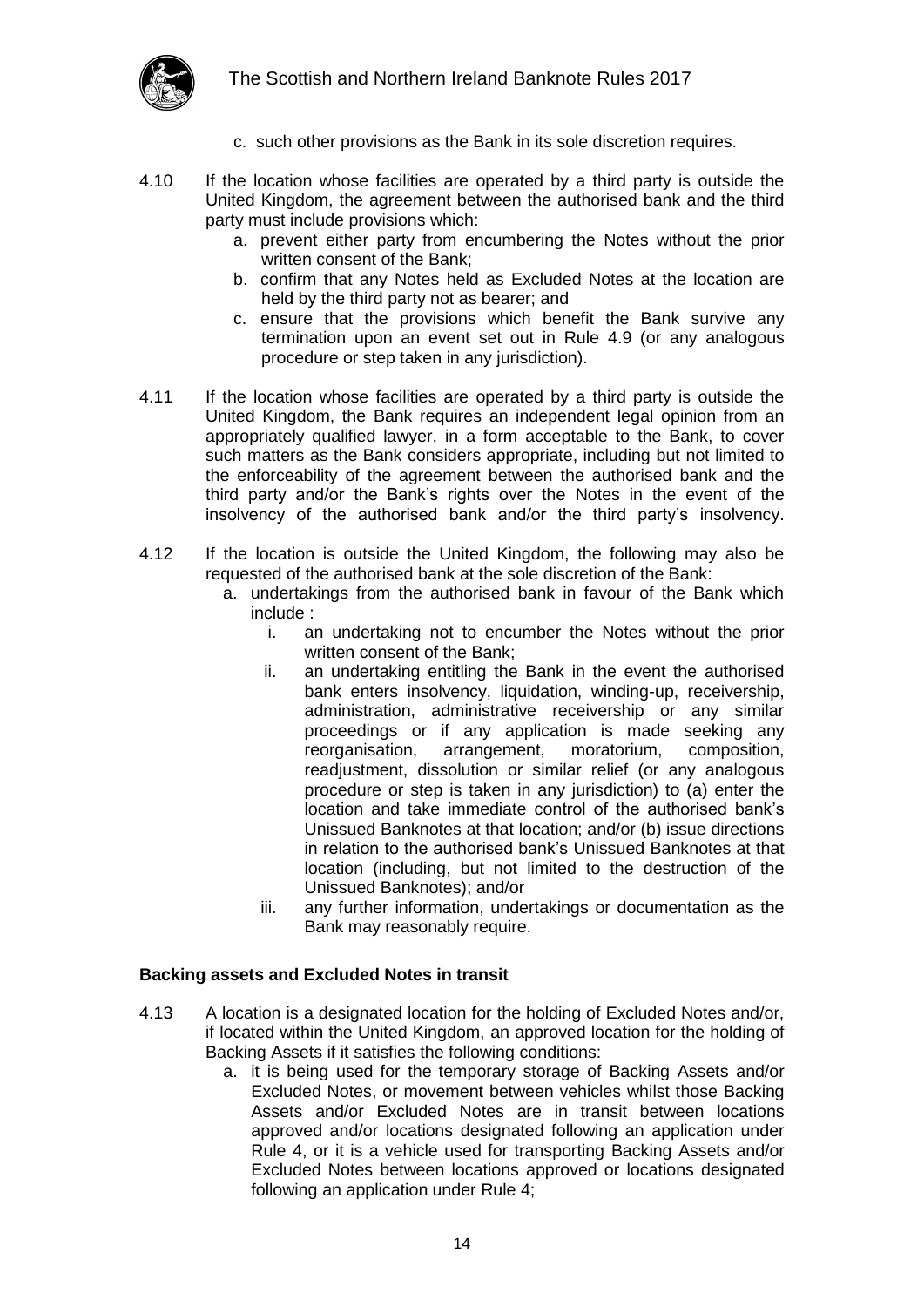

- c. such other provisions as the Bank in its sole discretion requires.
- 4.10 If the location whose facilities are operated by a third party is outside the United Kingdom, the agreement between the authorised bank and the third party must include provisions which:
	- a. prevent either party from encumbering the Notes without the prior written consent of the Bank;
	- b. confirm that any Notes held as Excluded Notes at the location are held by the third party not as bearer; and
	- c. ensure that the provisions which benefit the Bank survive any termination upon an event set out in Rule 4.9 (or any analogous procedure or step taken in any jurisdiction).
- 4.11 If the location whose facilities are operated by a third party is outside the United Kingdom, the Bank requires an independent legal opinion from an appropriately qualified lawyer, in a form acceptable to the Bank, to cover such matters as the Bank considers appropriate, including but not limited to the enforceability of the agreement between the authorised bank and the third party and/or the Bank's rights over the Notes in the event of the insolvency of the authorised bank and/or the third party's insolvency.
- 4.12 If the location is outside the United Kingdom, the following may also be requested of the authorised bank at the sole discretion of the Bank:
	- a. undertakings from the authorised bank in favour of the Bank which include :
		- i. an undertaking not to encumber the Notes without the prior written consent of the Bank;
		- ii. an undertaking entitling the Bank in the event the authorised bank enters insolvency, liquidation, winding-up, receivership, administration, administrative receivership or any similar proceedings or if any application is made seeking any reorganisation, arrangement, moratorium, composition, readjustment, dissolution or similar relief (or any analogous procedure or step is taken in any jurisdiction) to (a) enter the location and take immediate control of the authorised bank's Unissued Banknotes at that location; and/or (b) issue directions in relation to the authorised bank's Unissued Banknotes at that location (including, but not limited to the destruction of the Unissued Banknotes); and/or
		- iii. any further information, undertakings or documentation as the Bank may reasonably require.

#### <span id="page-13-0"></span>**Backing assets and Excluded Notes in transit**

- 4.13 A location is a designated location for the holding of Excluded Notes and/or, if located within the United Kingdom, an approved location for the holding of Backing Assets if it satisfies the following conditions:
	- a. it is being used for the temporary storage of Backing Assets and/or Excluded Notes, or movement between vehicles whilst those Backing Assets and/or Excluded Notes are in transit between locations approved and/or locations designated following an application under Rule 4, or it is a vehicle used for transporting Backing Assets and/or Excluded Notes between locations approved or locations designated following an application under Rule 4;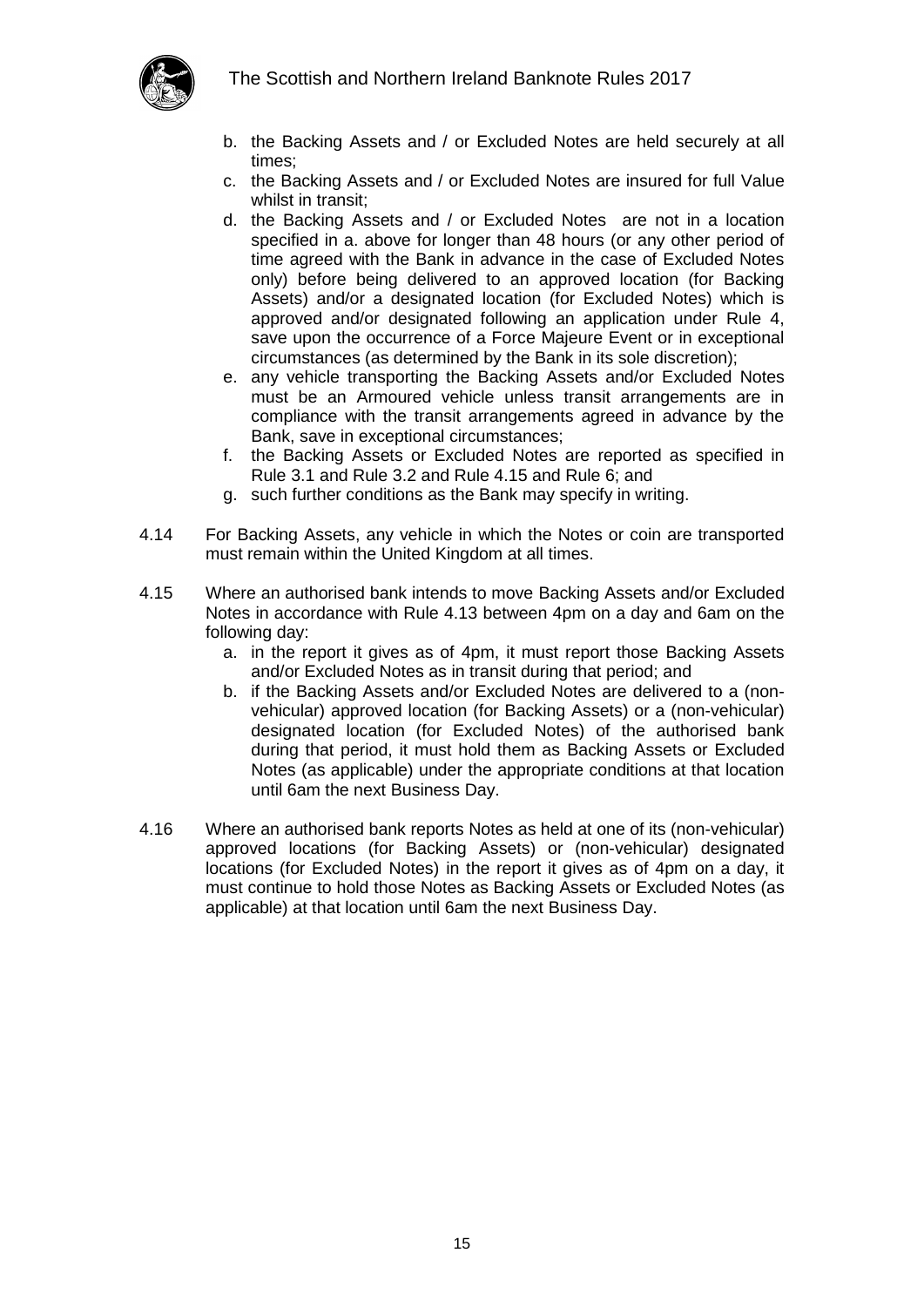

- b. the Backing Assets and / or Excluded Notes are held securely at all times;
- c. the Backing Assets and / or Excluded Notes are insured for full Value whilst in transit;
- d. the Backing Assets and / or Excluded Notes are not in a location specified in a. above for longer than 48 hours (or any other period of time agreed with the Bank in advance in the case of Excluded Notes only) before being delivered to an approved location (for Backing Assets) and/or a designated location (for Excluded Notes) which is approved and/or designated following an application under Rule 4, save upon the occurrence of a Force Majeure Event or in exceptional circumstances (as determined by the Bank in its sole discretion);
- e. any vehicle transporting the Backing Assets and/or Excluded Notes must be an Armoured vehicle unless transit arrangements are in compliance with the transit arrangements agreed in advance by the Bank, save in exceptional circumstances;
- f. the Backing Assets or Excluded Notes are reported as specified in Rule 3.1 and Rule 3.2 and Rule 4.15 and Rule 6; and
- g. such further conditions as the Bank may specify in writing.
- 4.14 For Backing Assets, any vehicle in which the Notes or coin are transported must remain within the United Kingdom at all times.
- 4.15 Where an authorised bank intends to move Backing Assets and/or Excluded Notes in accordance with Rule 4.13 between 4pm on a day and 6am on the following day:
	- a. in the report it gives as of 4pm, it must report those Backing Assets and/or Excluded Notes as in transit during that period; and
	- b. if the Backing Assets and/or Excluded Notes are delivered to a (nonvehicular) approved location (for Backing Assets) or a (non-vehicular) designated location (for Excluded Notes) of the authorised bank during that period, it must hold them as Backing Assets or Excluded Notes (as applicable) under the appropriate conditions at that location until 6am the next Business Day.
- 4.16 Where an authorised bank reports Notes as held at one of its (non-vehicular) approved locations (for Backing Assets) or (non-vehicular) designated locations (for Excluded Notes) in the report it gives as of 4pm on a day, it must continue to hold those Notes as Backing Assets or Excluded Notes (as applicable) at that location until 6am the next Business Day.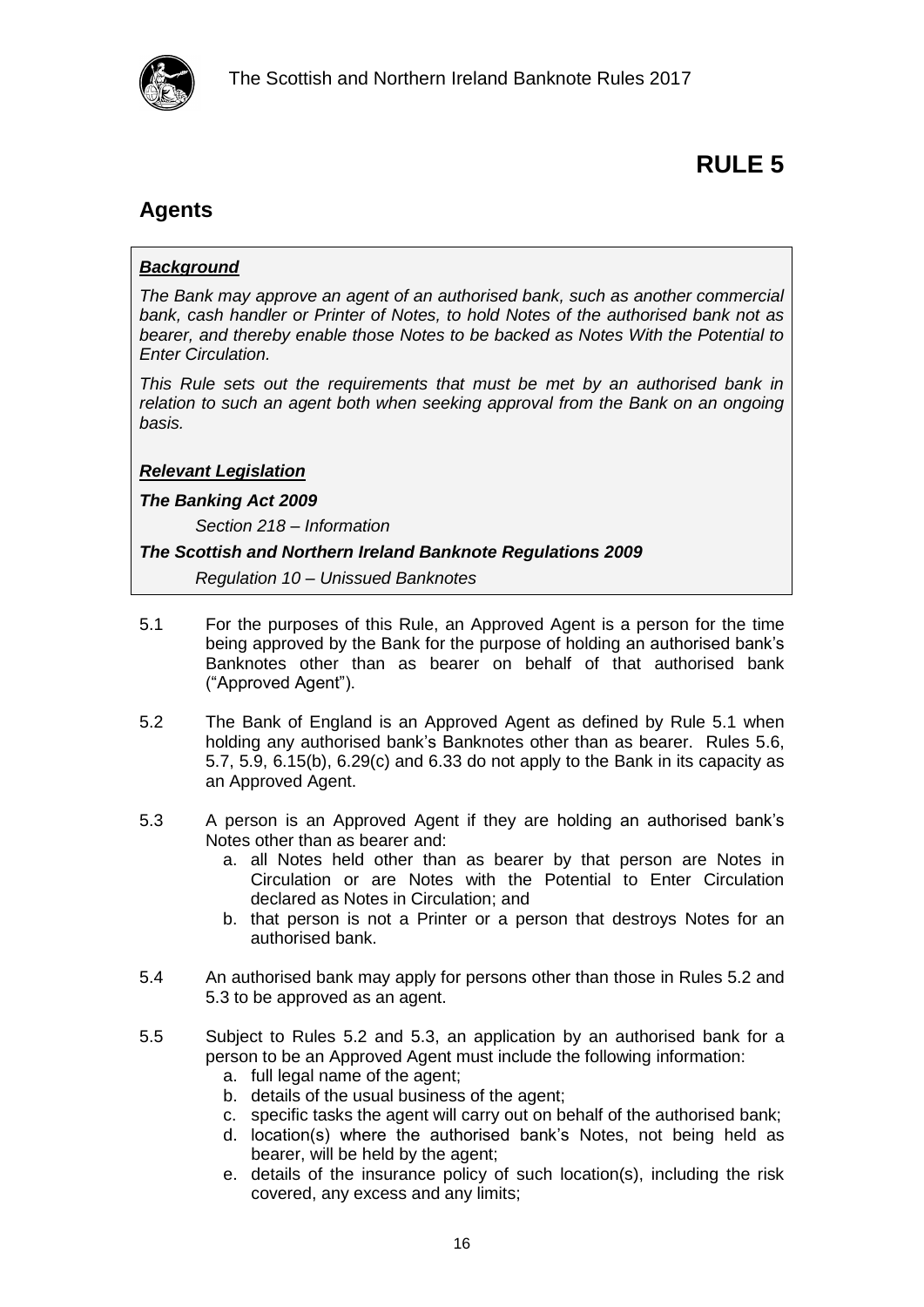

### <span id="page-15-1"></span><span id="page-15-0"></span>**Agents**

#### *Background*

*The Bank may approve an agent of an authorised bank, such as another commercial bank, cash handler or Printer of Notes, to hold Notes of the authorised bank not as bearer, and thereby enable those Notes to be backed as Notes With the Potential to Enter Circulation.*

*This Rule sets out the requirements that must be met by an authorised bank in relation to such an agent both when seeking approval from the Bank on an ongoing basis.*

#### *Relevant Legislation*

#### *The Banking Act 2009*

*Section 218 – Information*

#### *The Scottish and Northern Ireland Banknote Regulations 2009*

*Regulation 10 – Unissued Banknotes*

- 5.1 For the purposes of this Rule, an Approved Agent is a person for the time being approved by the Bank for the purpose of holding an authorised bank's Banknotes other than as bearer on behalf of that authorised bank ("Approved Agent").
- 5.2 The Bank of England is an Approved Agent as defined by Rule 5.1 when holding any authorised bank's Banknotes other than as bearer. Rules 5.6, 5.7, 5.9, 6.15(b), 6.29(c) and 6.33 do not apply to the Bank in its capacity as an Approved Agent.
- 5.3 A person is an Approved Agent if they are holding an authorised bank's Notes other than as bearer and:
	- a. all Notes held other than as bearer by that person are Notes in Circulation or are Notes with the Potential to Enter Circulation declared as Notes in Circulation; and
	- b. that person is not a Printer or a person that destroys Notes for an authorised bank.
- <span id="page-15-2"></span>5.4 An authorised bank may apply for persons other than those in Rules 5.2 and 5.3 to be approved as an agent.
- 5.5 Subject to Rules 5.2 and 5.3, an application by an authorised bank for a person to be an Approved Agent must include the following information:
	- a. full legal name of the agent;
	- b. details of the usual business of the agent;
	- c. specific tasks the agent will carry out on behalf of the authorised bank;
	- d. location(s) where the authorised bank's Notes, not being held as bearer, will be held by the agent;
	- e. details of the insurance policy of such location(s), including the risk covered, any excess and any limits;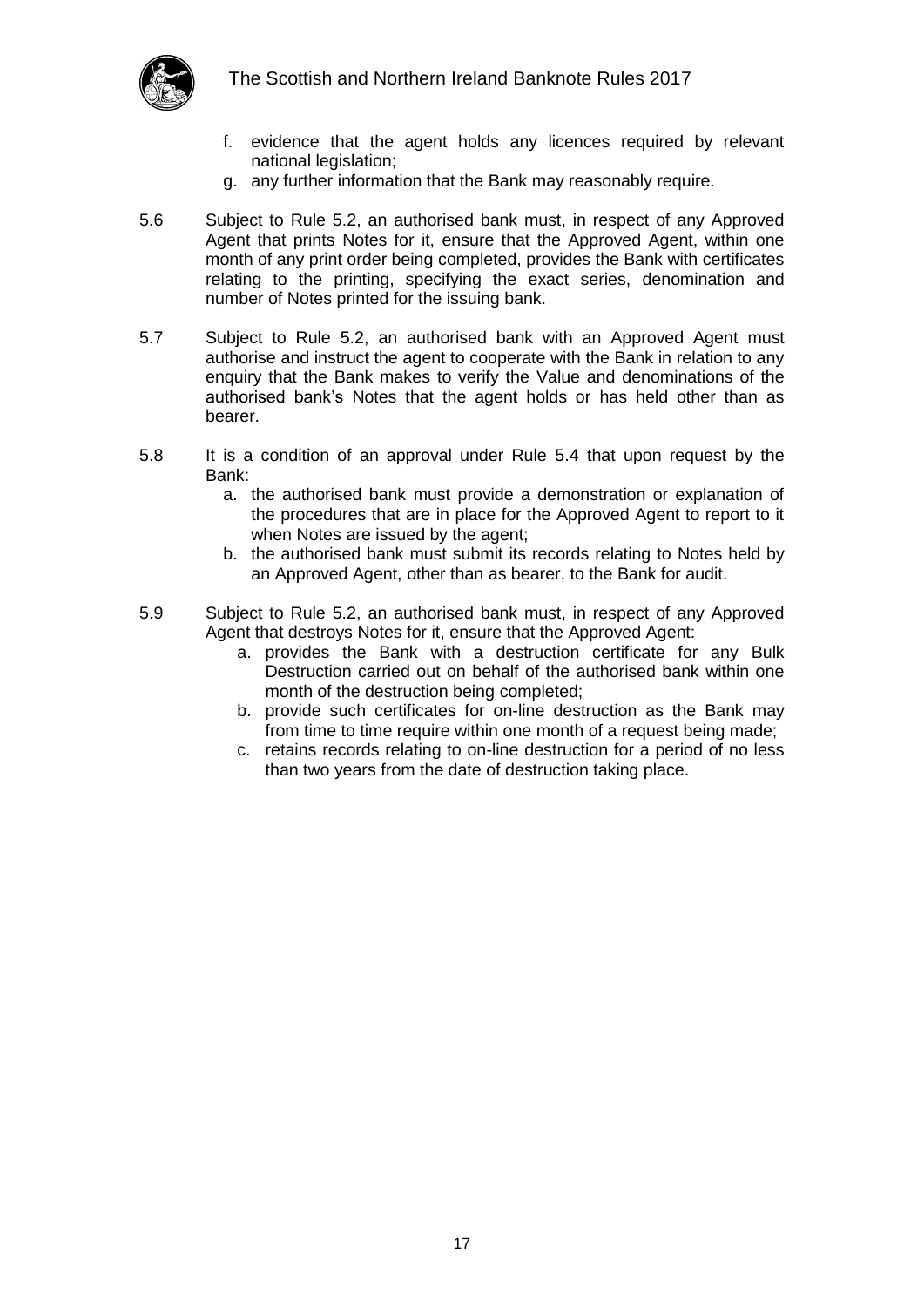

- f. evidence that the agent holds any licences required by relevant national legislation;
- g. any further information that the Bank may reasonably require.
- 5.6 Subject to Rule 5.2, an authorised bank must, in respect of any Approved Agent that prints Notes for it, ensure that the Approved Agent, within one month of any print order being completed, provides the Bank with certificates relating to the printing, specifying the exact series, denomination and number of Notes printed for the issuing bank.
- 5.7 Subject to Rule 5.2, an authorised bank with an Approved Agent must authorise and instruct the agent to cooperate with the Bank in relation to any enquiry that the Bank makes to verify the Value and denominations of the authorised bank's Notes that the agent holds or has held other than as bearer.
- 5.8 It is a condition of an approval under Rule [5.4](#page-15-2) that upon request by the Bank:
	- a. the authorised bank must provide a demonstration or explanation of the procedures that are in place for the Approved Agent to report to it when Notes are issued by the agent;
	- b. the authorised bank must submit its records relating to Notes held by an Approved Agent, other than as bearer, to the Bank for audit.
- 5.9 Subject to Rule 5.2, an authorised bank must, in respect of any Approved Agent that destroys Notes for it, ensure that the Approved Agent:
	- a. provides the Bank with a destruction certificate for any Bulk Destruction carried out on behalf of the authorised bank within one month of the destruction being completed;
	- b. provide such certificates for on-line destruction as the Bank may from time to time require within one month of a request being made;
	- c. retains records relating to on-line destruction for a period of no less than two years from the date of destruction taking place.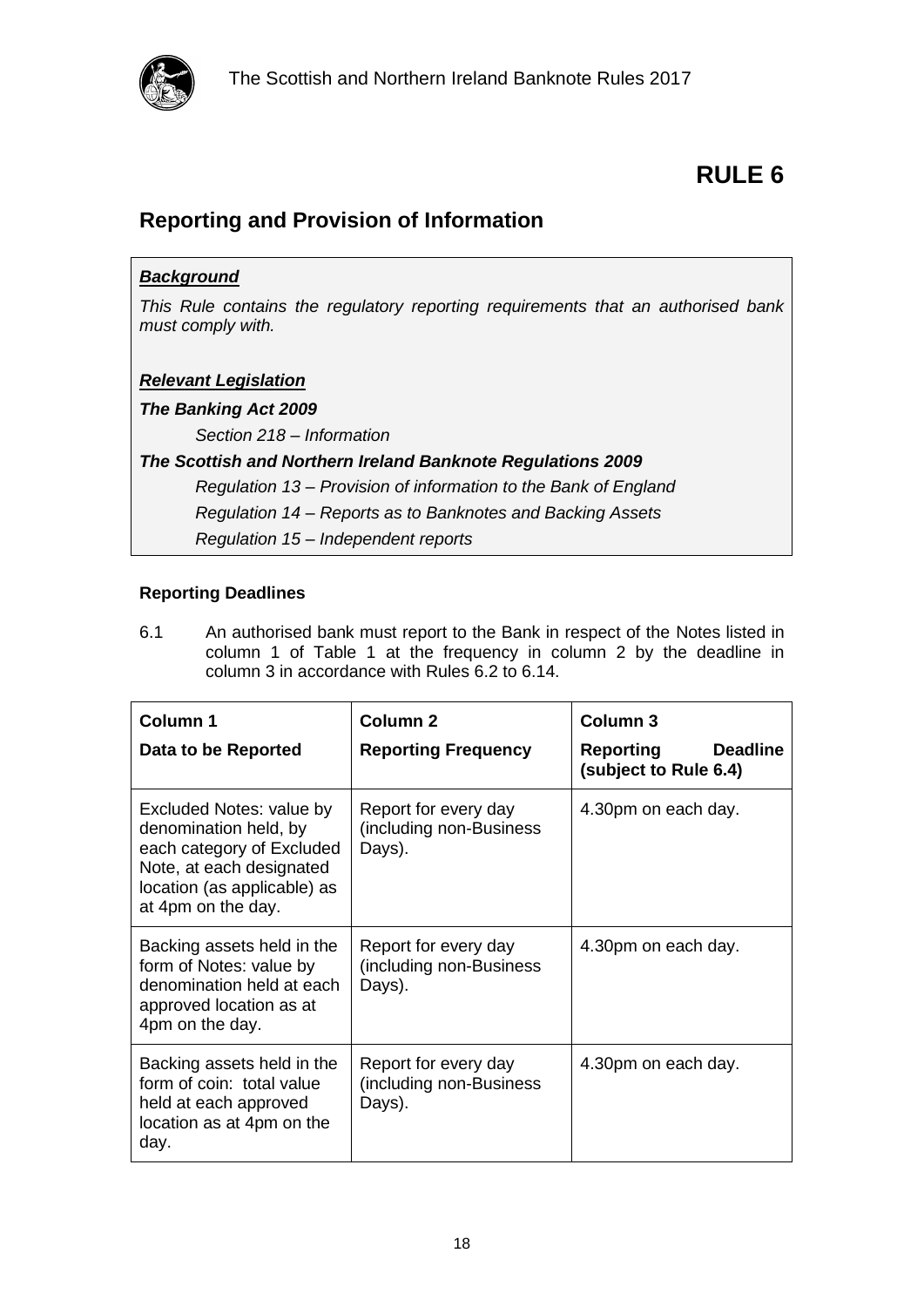

### <span id="page-17-1"></span><span id="page-17-0"></span>**Reporting and Provision of Information**

| <b>Background</b>                                                                                     |  |  |
|-------------------------------------------------------------------------------------------------------|--|--|
| This Rule contains the regulatory reporting requirements that an authorised bank<br>must comply with. |  |  |
| <b>Relevant Legislation</b>                                                                           |  |  |
| <b>The Banking Act 2009</b>                                                                           |  |  |
| Section 218 - Information                                                                             |  |  |
| The Scottish and Northern Ireland Banknote Regulations 2009                                           |  |  |
| Regulation 13 – Provision of information to the Bank of England                                       |  |  |
| Regulation 14 – Reports as to Banknotes and Backing Assets                                            |  |  |
| Regulation 15 – Independent reports                                                                   |  |  |

#### <span id="page-17-2"></span>**Reporting Deadlines**

6.1 An authorised bank must report to the Bank in respect of the Notes listed in column 1 of Table 1 at the frequency in column 2 by the deadline in column 3 in accordance with Rules [6.2](#page-18-0) to [6.14.](#page-19-1)

| <b>Column 1</b>                                                                                                                                                 | Column <sub>2</sub>                                        | Column <sub>3</sub>                                   |
|-----------------------------------------------------------------------------------------------------------------------------------------------------------------|------------------------------------------------------------|-------------------------------------------------------|
| Data to be Reported                                                                                                                                             | <b>Reporting Frequency</b>                                 | Reporting<br><b>Deadline</b><br>(subject to Rule 6.4) |
| Excluded Notes: value by<br>denomination held, by<br>each category of Excluded<br>Note, at each designated<br>location (as applicable) as<br>at 4pm on the day. | Report for every day<br>(including non-Business<br>Days).  | 4.30pm on each day.                                   |
| Backing assets held in the<br>form of Notes: value by<br>denomination held at each<br>approved location as at<br>4pm on the day.                                | Report for every day<br>(including non-Business)<br>Days). | 4.30pm on each day.                                   |
| Backing assets held in the<br>form of coin: total value<br>held at each approved<br>location as at 4pm on the<br>day.                                           | Report for every day<br>(including non-Business)<br>Days). | 4.30pm on each day.                                   |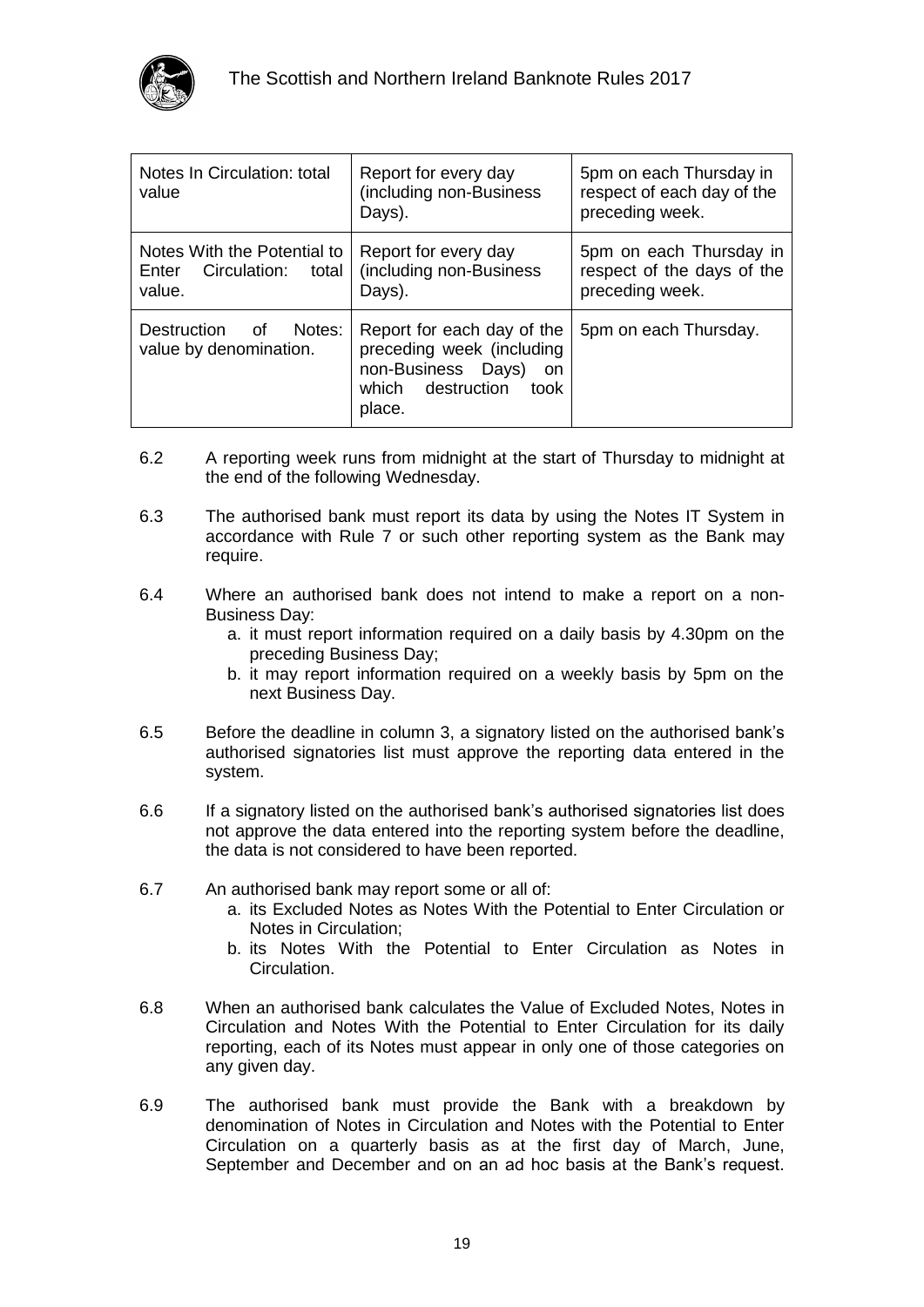

| Notes In Circulation: total<br>value                                 | Report for every day<br>(including non-Business<br>Days).                                                                  | 5pm on each Thursday in<br>respect of each day of the<br>preceding week. |
|----------------------------------------------------------------------|----------------------------------------------------------------------------------------------------------------------------|--------------------------------------------------------------------------|
| Notes With the Potential to<br>Enter Circulation:<br>total<br>value. | Report for every day<br>(including non-Business)<br>Days).                                                                 | 5pm on each Thursday in<br>respect of the days of the<br>preceding week. |
| <b>Destruction</b><br>Notes:<br>് of<br>value by denomination.       | Report for each day of the<br>preceding week (including<br>non-Business Days)<br>on<br>which destruction<br>took<br>place. | 5pm on each Thursday.                                                    |

- <span id="page-18-0"></span>6.2 A reporting week runs from midnight at the start of Thursday to midnight at the end of the following Wednesday.
- 6.3 The authorised bank must report its data by using the Notes IT System in accordance with Rule 7 or such other reporting system as the Bank may require.
- <span id="page-18-1"></span>6.4 Where an authorised bank does not intend to make a report on a non-Business Day:
	- a. it must report information required on a daily basis by 4.30pm on the preceding Business Day;
	- b. it may report information required on a weekly basis by 5pm on the next Business Day.
- 6.5 Before the deadline in column 3, a signatory listed on the authorised bank's authorised signatories list must approve the reporting data entered in the system.
- 6.6 If a signatory listed on the authorised bank's authorised signatories list does not approve the data entered into the reporting system before the deadline, the data is not considered to have been reported.
- 6.7 An authorised bank may report some or all of:
	- a. its Excluded Notes as Notes With the Potential to Enter Circulation or Notes in Circulation;
	- b. its Notes With the Potential to Enter Circulation as Notes in Circulation.
- 6.8 When an authorised bank calculates the Value of Excluded Notes, Notes in Circulation and Notes With the Potential to Enter Circulation for its daily reporting, each of its Notes must appear in only one of those categories on any given day.
- 6.9 The authorised bank must provide the Bank with a breakdown by denomination of Notes in Circulation and Notes with the Potential to Enter Circulation on a quarterly basis as at the first day of March, June, September and December and on an ad hoc basis at the Bank's request.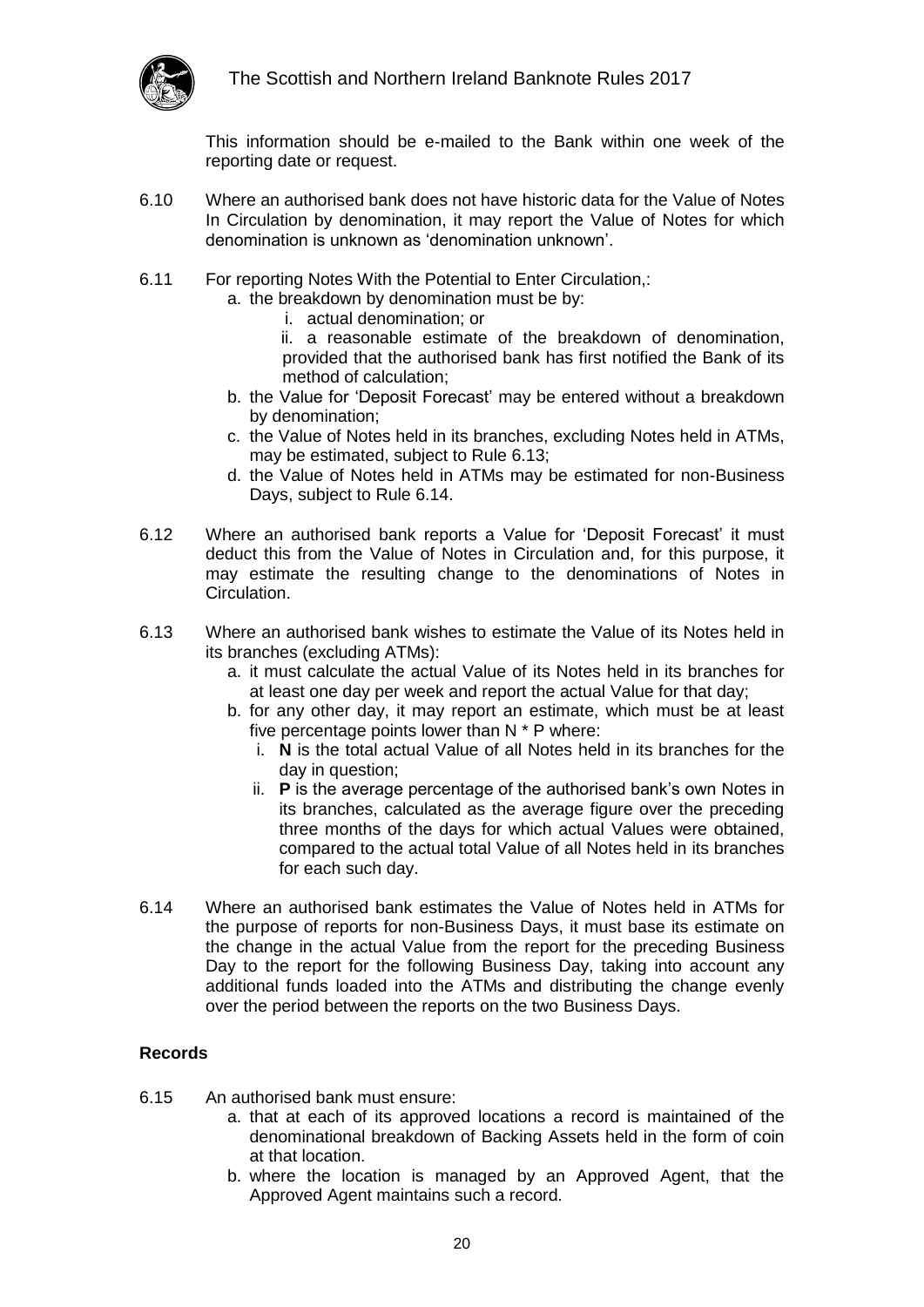

This information should be e-mailed to the Bank within one week of the reporting date or request.

- 6.10 Where an authorised bank does not have historic data for the Value of Notes In Circulation by denomination, it may report the Value of Notes for which denomination is unknown as 'denomination unknown'.
- 6.11 For reporting Notes With the Potential to Enter Circulation,:
	- a. the breakdown by denomination must be by:
		- i. actual denomination; or
		- ii. a reasonable estimate of the breakdown of denomination, provided that the authorised bank has first notified the Bank of its method of calculation;
	- b. the Value for 'Deposit Forecast' may be entered without a breakdown by denomination;
	- c. the Value of Notes held in its branches, excluding Notes held in ATMs, may be estimated, subject to Rule 6.13;
	- d. the Value of Notes held in ATMs may be estimated for non-Business Days, subject to Rule 6.14.
- 6.12 Where an authorised bank reports a Value for 'Deposit Forecast' it must deduct this from the Value of Notes in Circulation and, for this purpose, it may estimate the resulting change to the denominations of Notes in Circulation.
- 6.13 Where an authorised bank wishes to estimate the Value of its Notes held in its branches (excluding ATMs):
	- a. it must calculate the actual Value of its Notes held in its branches for at least one day per week and report the actual Value for that day;
	- b. for any other day, it may report an estimate, which must be at least five percentage points lower than N \* P where:
		- i. **N** is the total actual Value of all Notes held in its branches for the day in question;
		- ii. **P** is the average percentage of the authorised bank's own Notes in its branches, calculated as the average figure over the preceding three months of the days for which actual Values were obtained, compared to the actual total Value of all Notes held in its branches for each such day.
- <span id="page-19-1"></span>6.14 Where an authorised bank estimates the Value of Notes held in ATMs for the purpose of reports for non-Business Days, it must base its estimate on the change in the actual Value from the report for the preceding Business Day to the report for the following Business Day, taking into account any additional funds loaded into the ATMs and distributing the change evenly over the period between the reports on the two Business Days.

#### <span id="page-19-0"></span>**Records**

- 6.15 An authorised bank must ensure:
	- a. that at each of its approved locations a record is maintained of the denominational breakdown of Backing Assets held in the form of coin at that location.
	- b. where the location is managed by an Approved Agent, that the Approved Agent maintains such a record.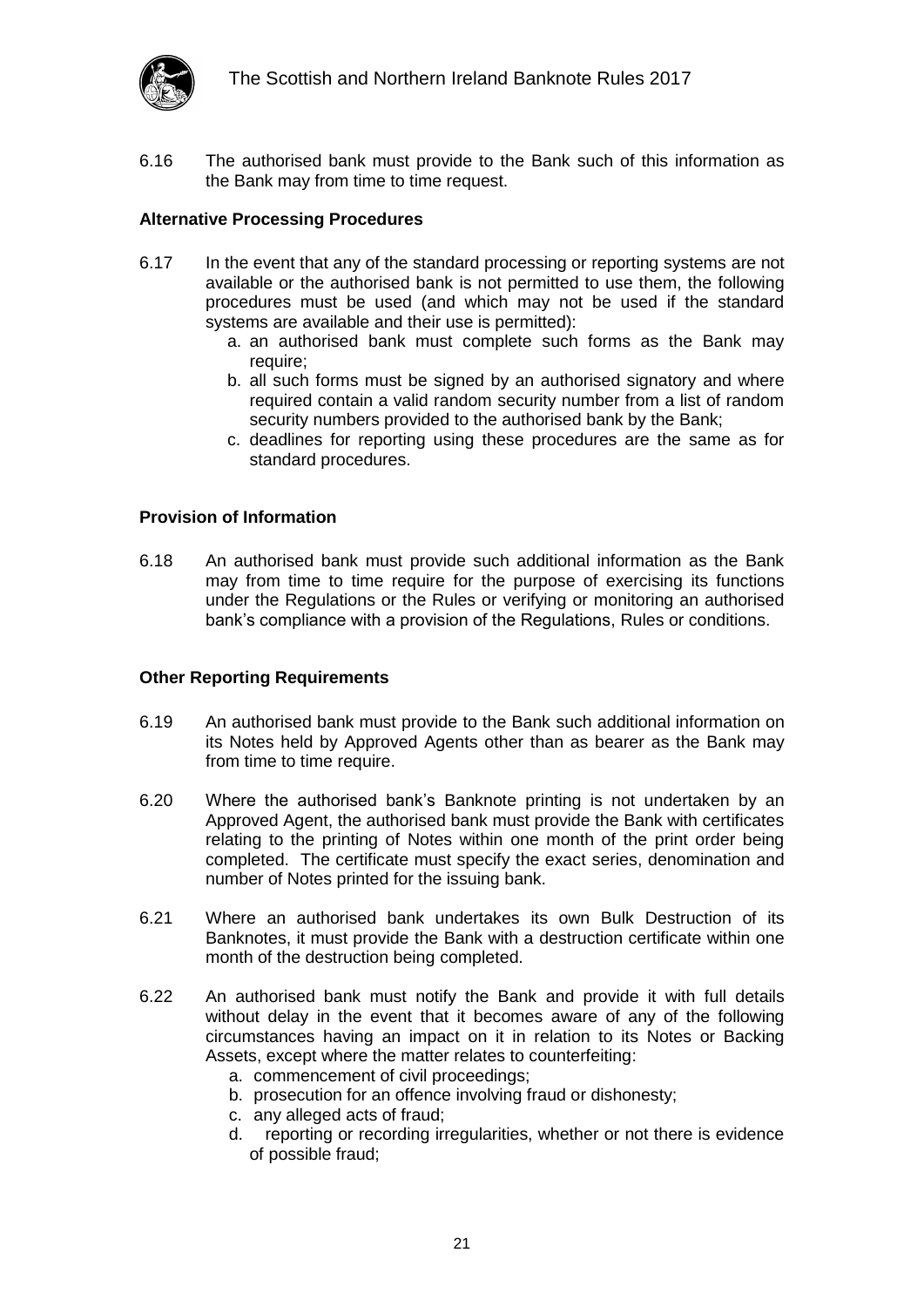

6.16 The authorised bank must provide to the Bank such of this information as the Bank may from time to time request.

#### <span id="page-20-0"></span>**Alternative Processing Procedures**

- 6.17 In the event that any of the standard processing or reporting systems are not available or the authorised bank is not permitted to use them, the following procedures must be used (and which may not be used if the standard systems are available and their use is permitted):
	- a. an authorised bank must complete such forms as the Bank may require;
	- b. all such forms must be signed by an authorised signatory and where required contain a valid random security number from a list of random security numbers provided to the authorised bank by the Bank;
	- c. deadlines for reporting using these procedures are the same as for standard procedures.

#### <span id="page-20-1"></span>**Provision of Information**

6.18 An authorised bank must provide such additional information as the Bank may from time to time require for the purpose of exercising its functions under the Regulations or the Rules or verifying or monitoring an authorised bank's compliance with a provision of the Regulations, Rules or conditions.

#### <span id="page-20-2"></span>**Other Reporting Requirements**

- 6.19 An authorised bank must provide to the Bank such additional information on its Notes held by Approved Agents other than as bearer as the Bank may from time to time require.
- 6.20 Where the authorised bank's Banknote printing is not undertaken by an Approved Agent, the authorised bank must provide the Bank with certificates relating to the printing of Notes within one month of the print order being completed. The certificate must specify the exact series, denomination and number of Notes printed for the issuing bank.
- 6.21 Where an authorised bank undertakes its own Bulk Destruction of its Banknotes, it must provide the Bank with a destruction certificate within one month of the destruction being completed.
- 6.22 An authorised bank must notify the Bank and provide it with full details without delay in the event that it becomes aware of any of the following circumstances having an impact on it in relation to its Notes or Backing Assets, except where the matter relates to counterfeiting:
	- a. commencement of civil proceedings;
	- b. prosecution for an offence involving fraud or dishonesty;
	- c. any alleged acts of fraud;
	- d. reporting or recording irregularities, whether or not there is evidence of possible fraud;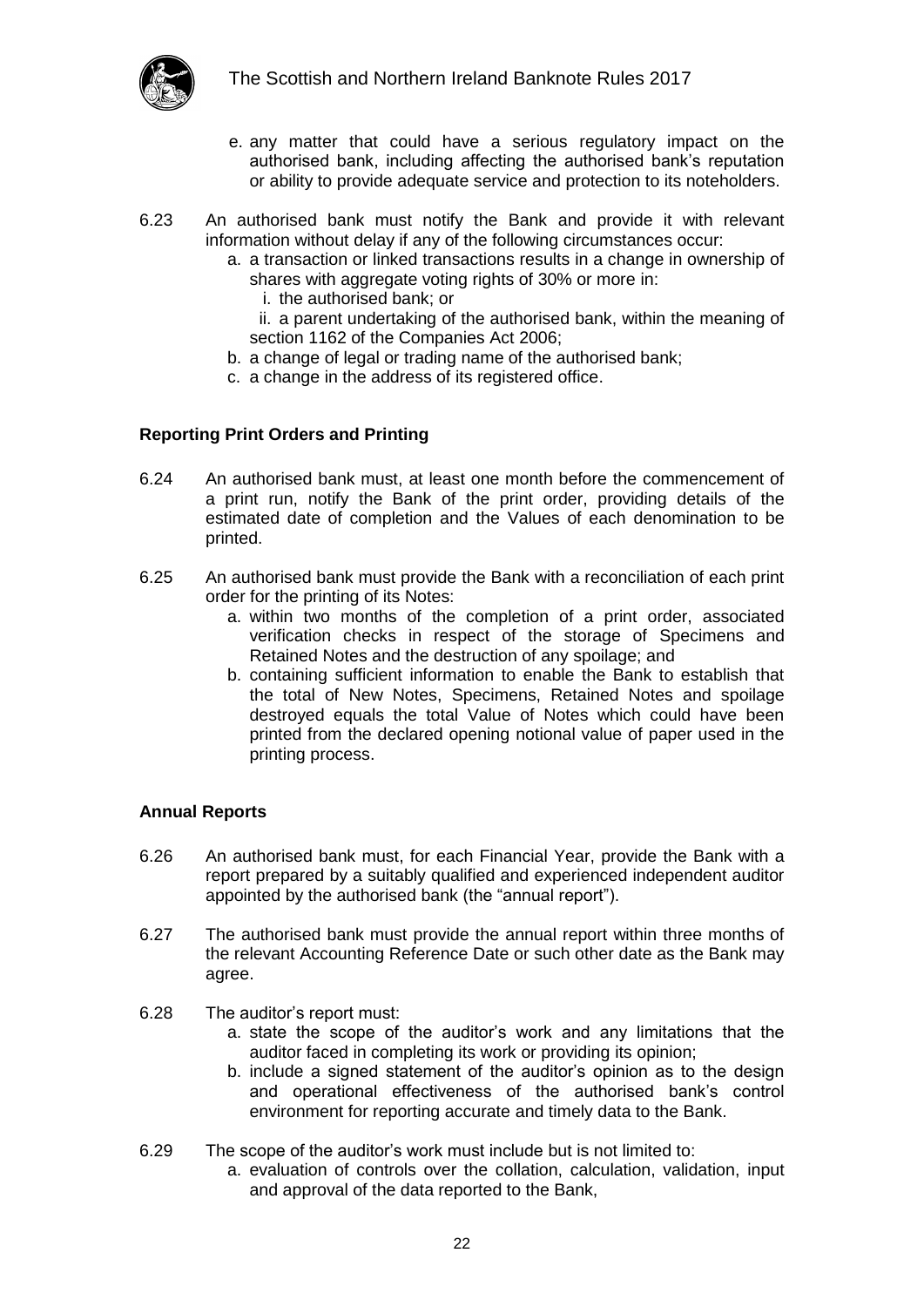

- e. any matter that could have a serious regulatory impact on the authorised bank, including affecting the authorised bank's reputation or ability to provide adequate service and protection to its noteholders.
- 6.23 An authorised bank must notify the Bank and provide it with relevant information without delay if any of the following circumstances occur:
	- a. a transaction or linked transactions results in a change in ownership of shares with aggregate voting rights of 30% or more in:
		- i. the authorised bank; or

ii. a parent undertaking of the authorised bank, within the meaning of section 1162 of the Companies Act 2006;

- b. a change of legal or trading name of the authorised bank;
- c. a change in the address of its registered office.

#### <span id="page-21-0"></span>**Reporting Print Orders and Printing**

- 6.24 An authorised bank must, at least one month before the commencement of a print run, notify the Bank of the print order, providing details of the estimated date of completion and the Values of each denomination to be printed.
- 6.25 An authorised bank must provide the Bank with a reconciliation of each print order for the printing of its Notes:
	- a. within two months of the completion of a print order, associated verification checks in respect of the storage of Specimens and Retained Notes and the destruction of any spoilage; and
	- b. containing sufficient information to enable the Bank to establish that the total of New Notes, Specimens, Retained Notes and spoilage destroyed equals the total Value of Notes which could have been printed from the declared opening notional value of paper used in the printing process.

#### <span id="page-21-1"></span>**Annual Reports**

- 6.26 An authorised bank must, for each Financial Year, provide the Bank with a report prepared by a suitably qualified and experienced independent auditor appointed by the authorised bank (the "annual report").
- 6.27 The authorised bank must provide the annual report within three months of the relevant Accounting Reference Date or such other date as the Bank may agree.
- 6.28 The auditor's report must:
	- a. state the scope of the auditor's work and any limitations that the auditor faced in completing its work or providing its opinion;
	- b. include a signed statement of the auditor's opinion as to the design and operational effectiveness of the authorised bank's control environment for reporting accurate and timely data to the Bank.
- 6.29 The scope of the auditor's work must include but is not limited to:
	- a. evaluation of controls over the collation, calculation, validation, input and approval of the data reported to the Bank,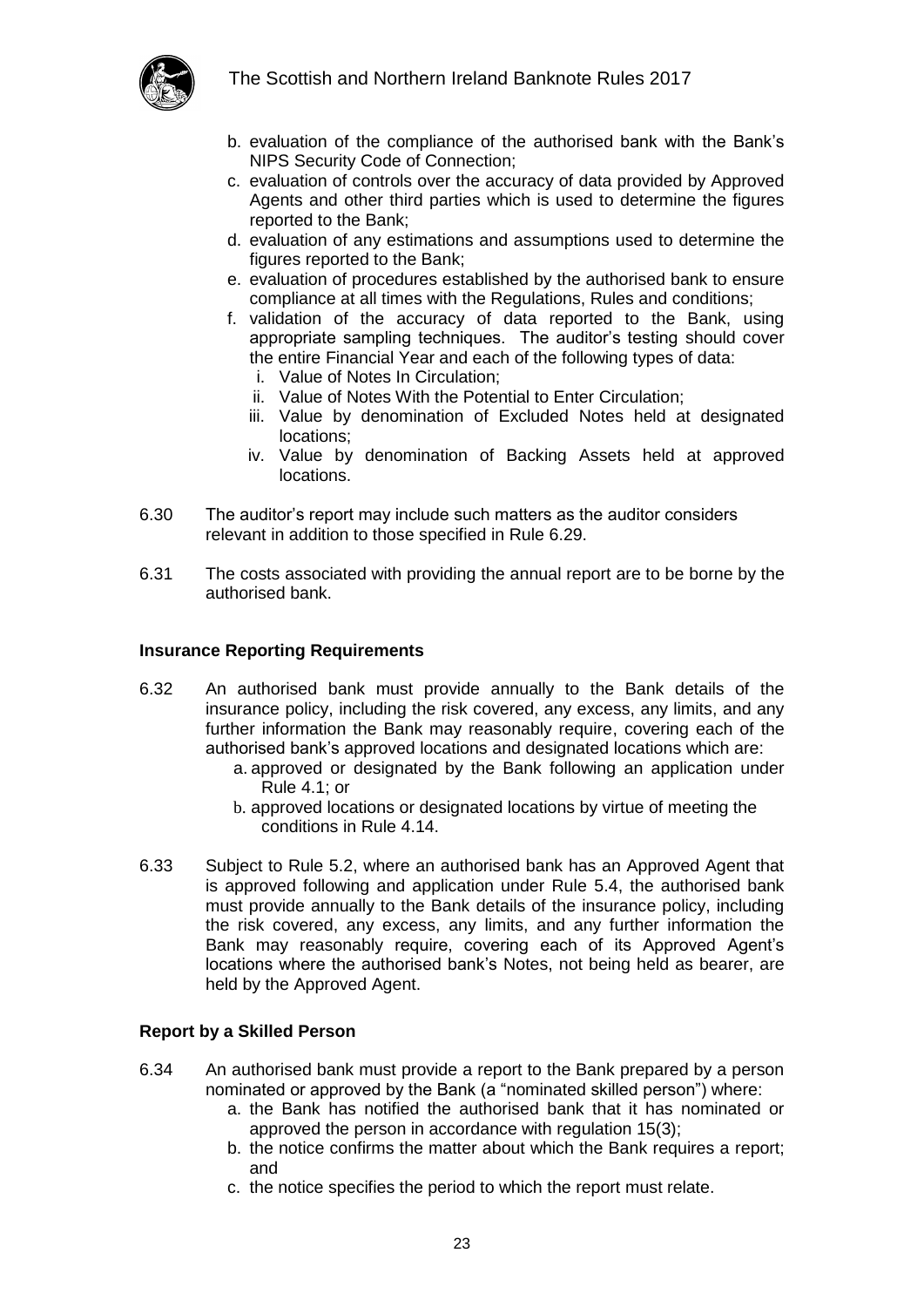

- b. evaluation of the compliance of the authorised bank with the Bank's NIPS Security Code of Connection;
- c. evaluation of controls over the accuracy of data provided by Approved Agents and other third parties which is used to determine the figures reported to the Bank;
- d. evaluation of any estimations and assumptions used to determine the figures reported to the Bank;
- e. evaluation of procedures established by the authorised bank to ensure compliance at all times with the Regulations, Rules and conditions;
- f. validation of the accuracy of data reported to the Bank, using appropriate sampling techniques. The auditor's testing should cover the entire Financial Year and each of the following types of data:
	- i. Value of Notes In Circulation;
	- ii. Value of Notes With the Potential to Enter Circulation;
	- iii. Value by denomination of Excluded Notes held at designated locations;
	- iv. Value by denomination of Backing Assets held at approved locations.
- 6.30 The auditor's report may include such matters as the auditor considers relevant in addition to those specified in Rule 6.29.
- 6.31 The costs associated with providing the annual report are to be borne by the authorised bank.

#### <span id="page-22-0"></span>**Insurance Reporting Requirements**

- 6.32 An authorised bank must provide annually to the Bank details of the insurance policy, including the risk covered, any excess, any limits, and any further information the Bank may reasonably require, covering each of the authorised bank's approved locations and designated locations which are:
	- a. approved or designated by the Bank following an application under Rule 4.1; or
	- b. approved locations or designated locations by virtue of meeting the conditions in Rule 4.14.
- 6.33 Subject to Rule 5.2, where an authorised bank has an Approved Agent that is approved following and application under Rule [5.4,](#page-15-2) the authorised bank must provide annually to the Bank details of the insurance policy, including the risk covered, any excess, any limits, and any further information the Bank may reasonably require, covering each of its Approved Agent's locations where the authorised bank's Notes, not being held as bearer, are held by the Approved Agent.

#### <span id="page-22-1"></span>**Report by a Skilled Person**

- 6.34 An authorised bank must provide a report to the Bank prepared by a person nominated or approved by the Bank (a "nominated skilled person") where:
	- a. the Bank has notified the authorised bank that it has nominated or approved the person in accordance with regulation 15(3);
	- b. the notice confirms the matter about which the Bank requires a report; and
	- c. the notice specifies the period to which the report must relate.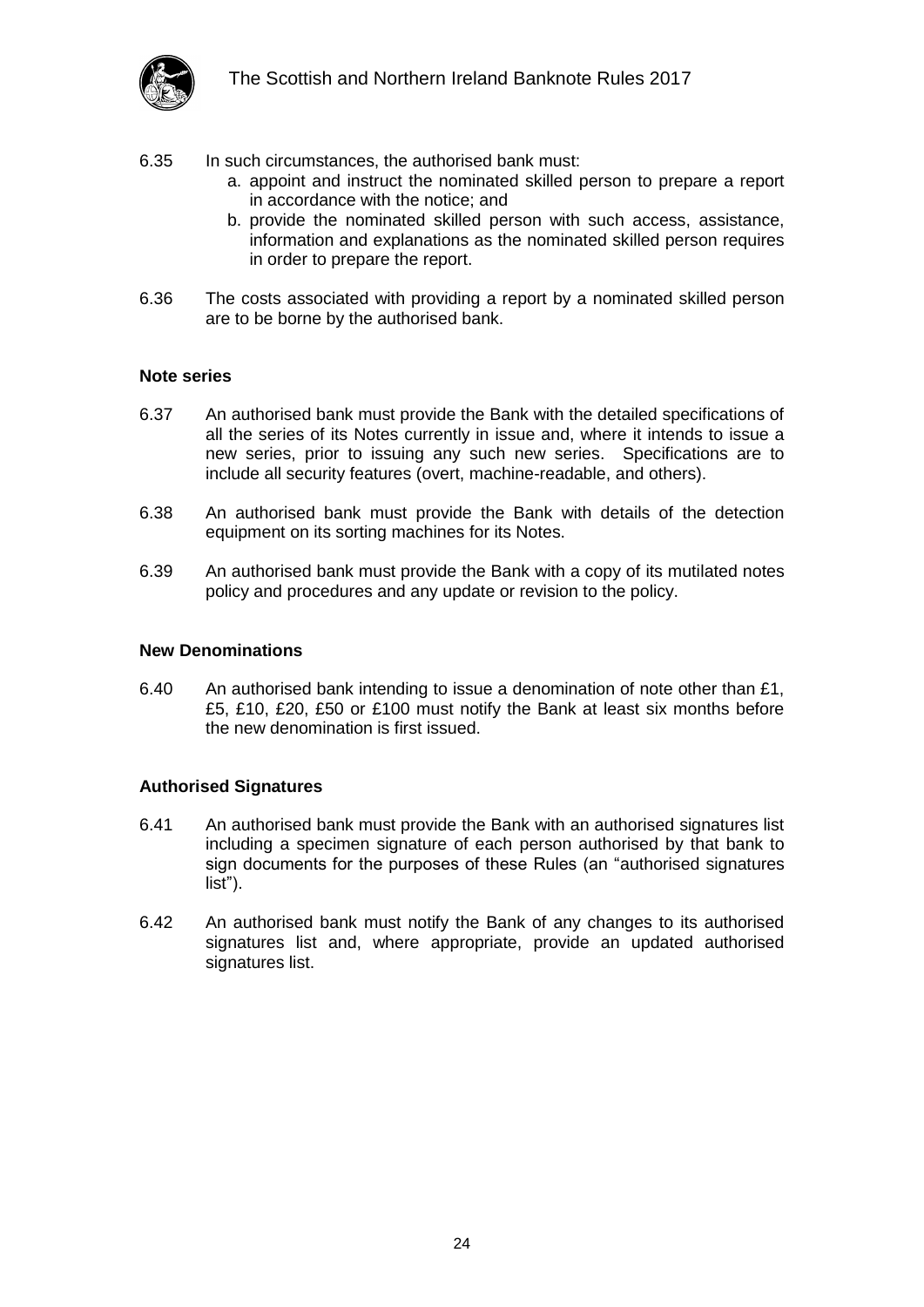

- 6.35 In such circumstances, the authorised bank must:
	- a. appoint and instruct the nominated skilled person to prepare a report in accordance with the notice; and
	- b. provide the nominated skilled person with such access, assistance, information and explanations as the nominated skilled person requires in order to prepare the report.
- 6.36 The costs associated with providing a report by a nominated skilled person are to be borne by the authorised bank.

#### <span id="page-23-0"></span>**Note series**

- 6.37 An authorised bank must provide the Bank with the detailed specifications of all the series of its Notes currently in issue and, where it intends to issue a new series, prior to issuing any such new series. Specifications are to include all security features (overt, machine-readable, and others).
- 6.38 An authorised bank must provide the Bank with details of the detection equipment on its sorting machines for its Notes.
- 6.39 An authorised bank must provide the Bank with a copy of its mutilated notes policy and procedures and any update or revision to the policy.

#### <span id="page-23-1"></span>**New Denominations**

6.40 An authorised bank intending to issue a denomination of note other than £1, £5, £10, £20, £50 or £100 must notify the Bank at least six months before the new denomination is first issued.

#### <span id="page-23-2"></span>**Authorised Signatures**

- <span id="page-23-3"></span>6.41 An authorised bank must provide the Bank with an authorised signatures list including a specimen signature of each person authorised by that bank to sign documents for the purposes of these Rules (an "authorised signatures list").
- 6.42 An authorised bank must notify the Bank of any changes to its authorised signatures list and, where appropriate, provide an updated authorised signatures list.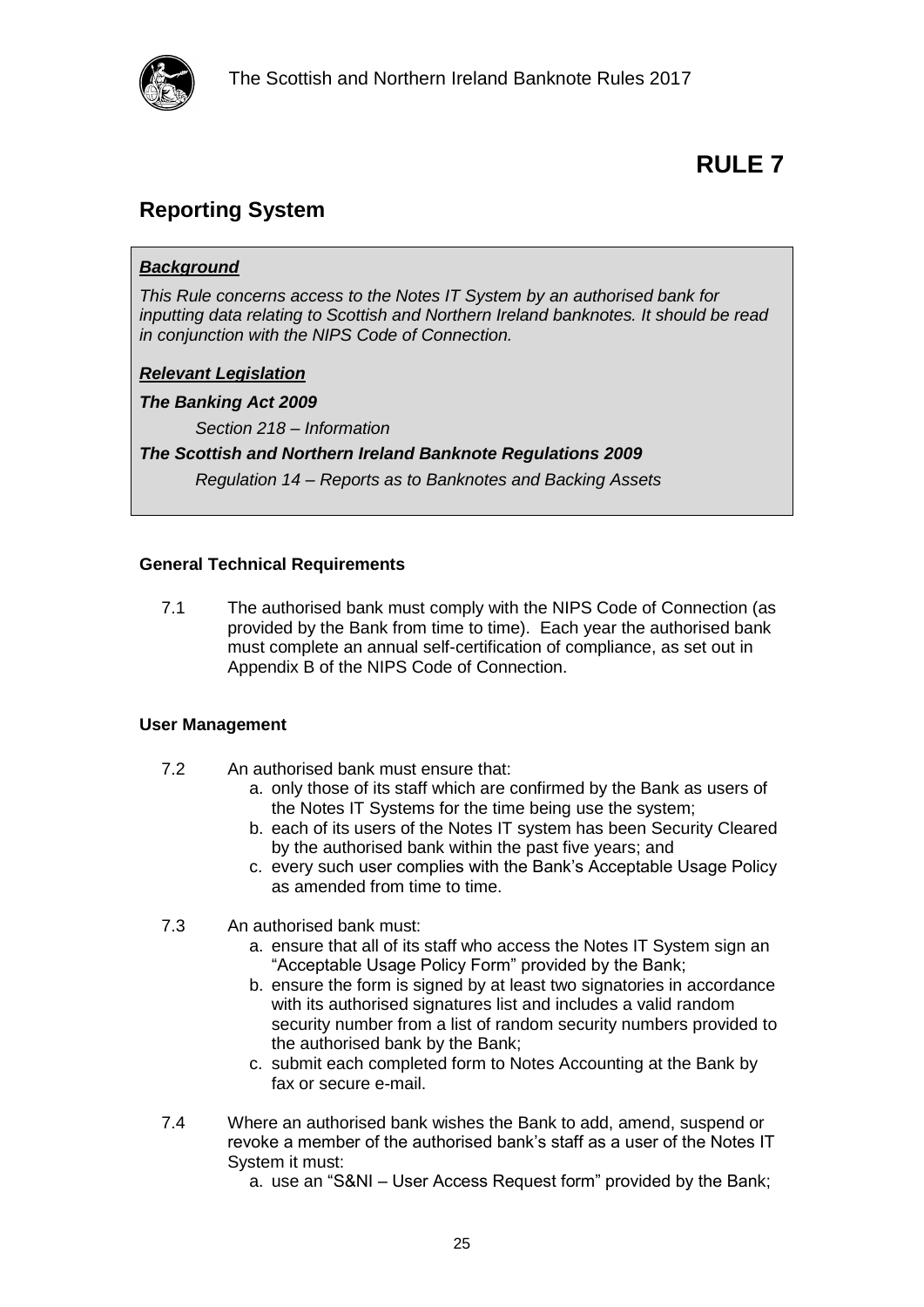

### <span id="page-24-1"></span><span id="page-24-0"></span>**Reporting System**

#### *Background*

*This Rule concerns access to the Notes IT System by an authorised bank for inputting data relating to Scottish and Northern Ireland banknotes. It should be read in conjunction with the NIPS Code of Connection.*

#### *Relevant Legislation*

*The Banking Act 2009*

*Section 218 – Information*

*The Scottish and Northern Ireland Banknote Regulations 2009*

*Regulation 14 – Reports as to Banknotes and Backing Assets*

#### <span id="page-24-2"></span>**General Technical Requirements**

7.1 The authorised bank must comply with the NIPS Code of Connection (as provided by the Bank from time to time). Each year the authorised bank must complete an annual self-certification of compliance, as set out in Appendix B of the NIPS Code of Connection.

#### <span id="page-24-3"></span>**User Management**

- 7.2 An authorised bank must ensure that:
	- a. only those of its staff which are confirmed by the Bank as users of the Notes IT Systems for the time being use the system;
	- b. each of its users of the Notes IT system has been Security Cleared by the authorised bank within the past five years; and
	- c. every such user complies with the Bank's Acceptable Usage Policy as amended from time to time.
- 7.3 An authorised bank must:
	- a. ensure that all of its staff who access the Notes IT System sign an "Acceptable Usage Policy Form" provided by the Bank;
	- b. ensure the form is signed by at least two signatories in accordance with its authorised signatures list and includes a valid random security number from a list of random security numbers provided to the authorised bank by the Bank;
	- c. submit each completed form to Notes Accounting at the Bank by fax or secure e-mail.
- 7.4 Where an authorised bank wishes the Bank to add, amend, suspend or revoke a member of the authorised bank's staff as a user of the Notes IT System it must:
	- a. use an "S&NI User Access Request form" provided by the Bank;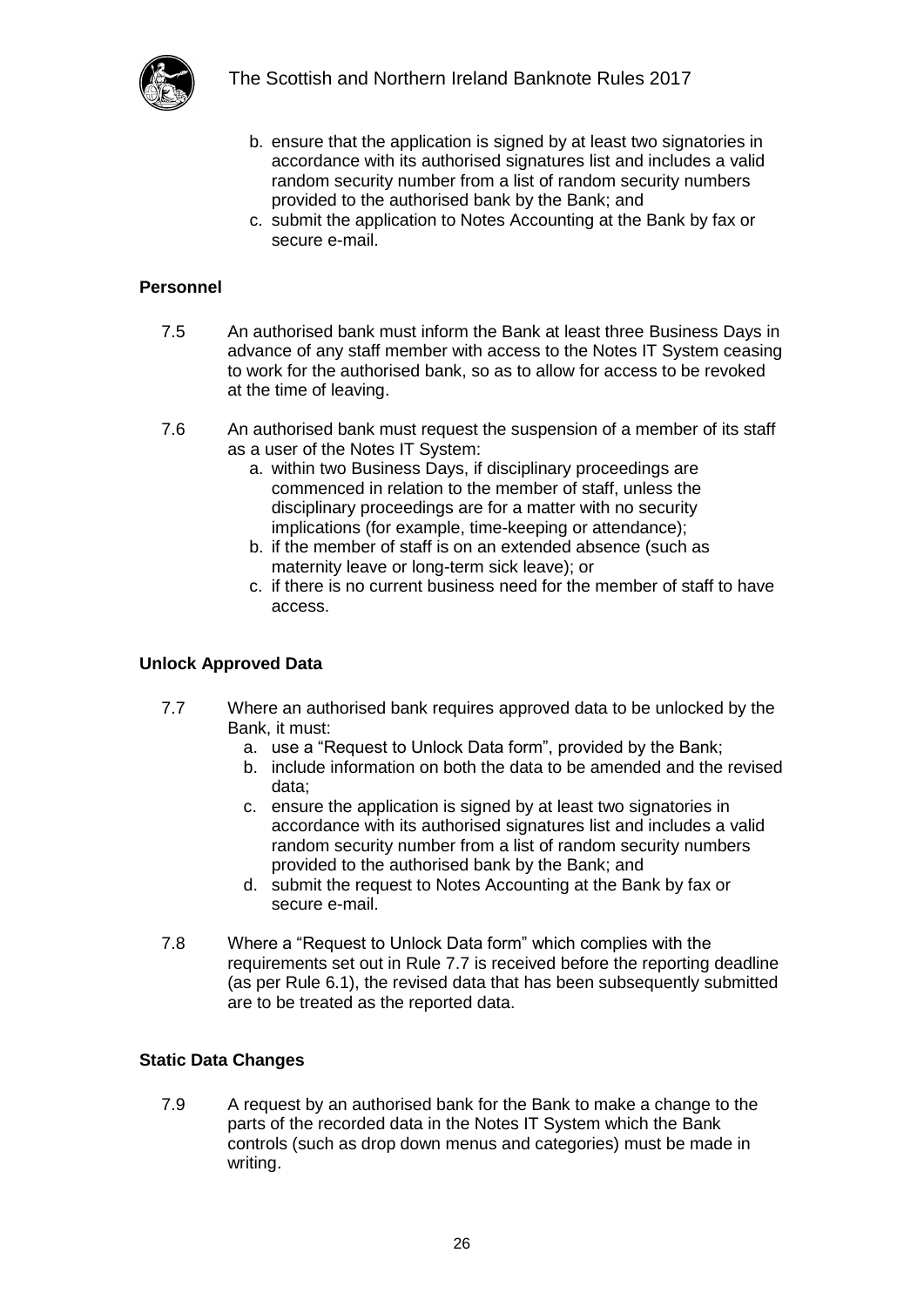

- b. ensure that the application is signed by at least two signatories in accordance with its authorised signatures list and includes a valid random security number from a list of random security numbers provided to the authorised bank by the Bank; and
- c. submit the application to Notes Accounting at the Bank by fax or secure e-mail.

#### <span id="page-25-0"></span>**Personnel**

- 7.5 An authorised bank must inform the Bank at least three Business Days in advance of any staff member with access to the Notes IT System ceasing to work for the authorised bank, so as to allow for access to be revoked at the time of leaving.
- 7.6 An authorised bank must request the suspension of a member of its staff as a user of the Notes IT System:
	- a. within two Business Days, if disciplinary proceedings are commenced in relation to the member of staff, unless the disciplinary proceedings are for a matter with no security implications (for example, time-keeping or attendance);
	- b. if the member of staff is on an extended absence (such as maternity leave or long-term sick leave); or
	- c. if there is no current business need for the member of staff to have access.

#### <span id="page-25-1"></span>**Unlock Approved Data**

- 7.7 Where an authorised bank requires approved data to be unlocked by the Bank, it must:
	- a. use a "Request to Unlock Data form", provided by the Bank;
	- b. include information on both the data to be amended and the revised data;
	- c. ensure the application is signed by at least two signatories in accordance with its authorised signatures list and includes a valid random security number from a list of random security numbers provided to the authorised bank by the Bank; and
	- d. submit the request to Notes Accounting at the Bank by fax or secure e-mail.
- 7.8 Where a "Request to Unlock Data form" which complies with the requirements set out in Rule 7.7 is received before the reporting deadline (as per Rule 6.1), the revised data that has been subsequently submitted are to be treated as the reported data.

#### <span id="page-25-2"></span>**Static Data Changes**

7.9 A request by an authorised bank for the Bank to make a change to the parts of the recorded data in the Notes IT System which the Bank controls (such as drop down menus and categories) must be made in writing.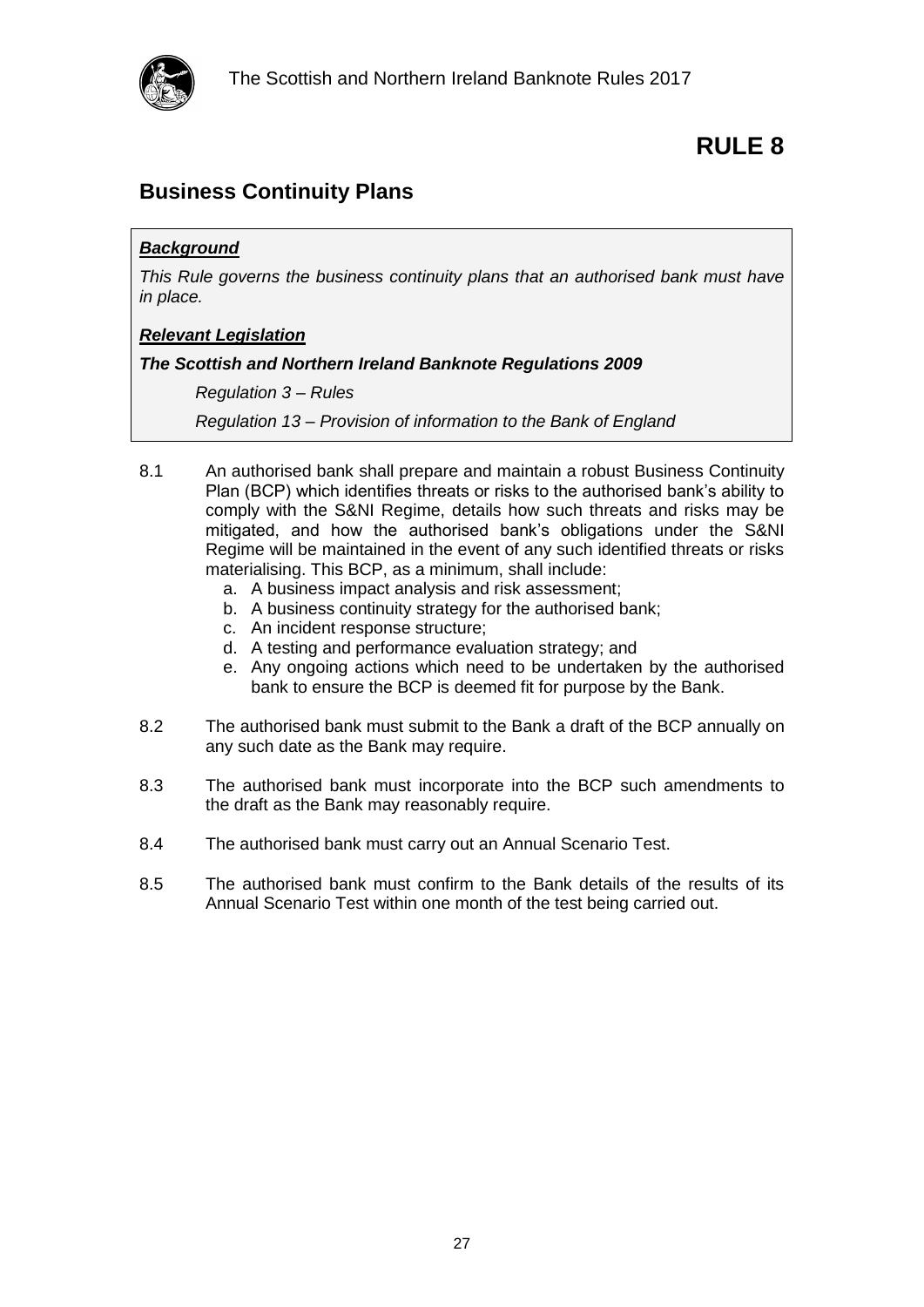

### <span id="page-26-1"></span><span id="page-26-0"></span>**Business Continuity Plans**

#### *Background*

*This Rule governs the business continuity plans that an authorised bank must have in place.*

#### *Relevant Legislation*

#### *The Scottish and Northern Ireland Banknote Regulations 2009*

*Regulation 3 – Rules*

*Regulation 13 – Provision of information to the Bank of England*

- 8.1 An authorised bank shall prepare and maintain a robust Business Continuity Plan (BCP) which identifies threats or risks to the authorised bank's ability to comply with the S&NI Regime, details how such threats and risks may be mitigated, and how the authorised bank's obligations under the S&NI Regime will be maintained in the event of any such identified threats or risks materialising. This BCP, as a minimum, shall include:
	- a. A business impact analysis and risk assessment;
	- b. A business continuity strategy for the authorised bank;
	- c. An incident response structure;
	- d. A testing and performance evaluation strategy; and
	- e. Any ongoing actions which need to be undertaken by the authorised bank to ensure the BCP is deemed fit for purpose by the Bank.
- 8.2 The authorised bank must submit to the Bank a draft of the BCP annually on any such date as the Bank may require.
- 8.3 The authorised bank must incorporate into the BCP such amendments to the draft as the Bank may reasonably require.
- 8.4 The authorised bank must carry out an Annual Scenario Test.
- 8.5 The authorised bank must confirm to the Bank details of the results of its Annual Scenario Test within one month of the test being carried out.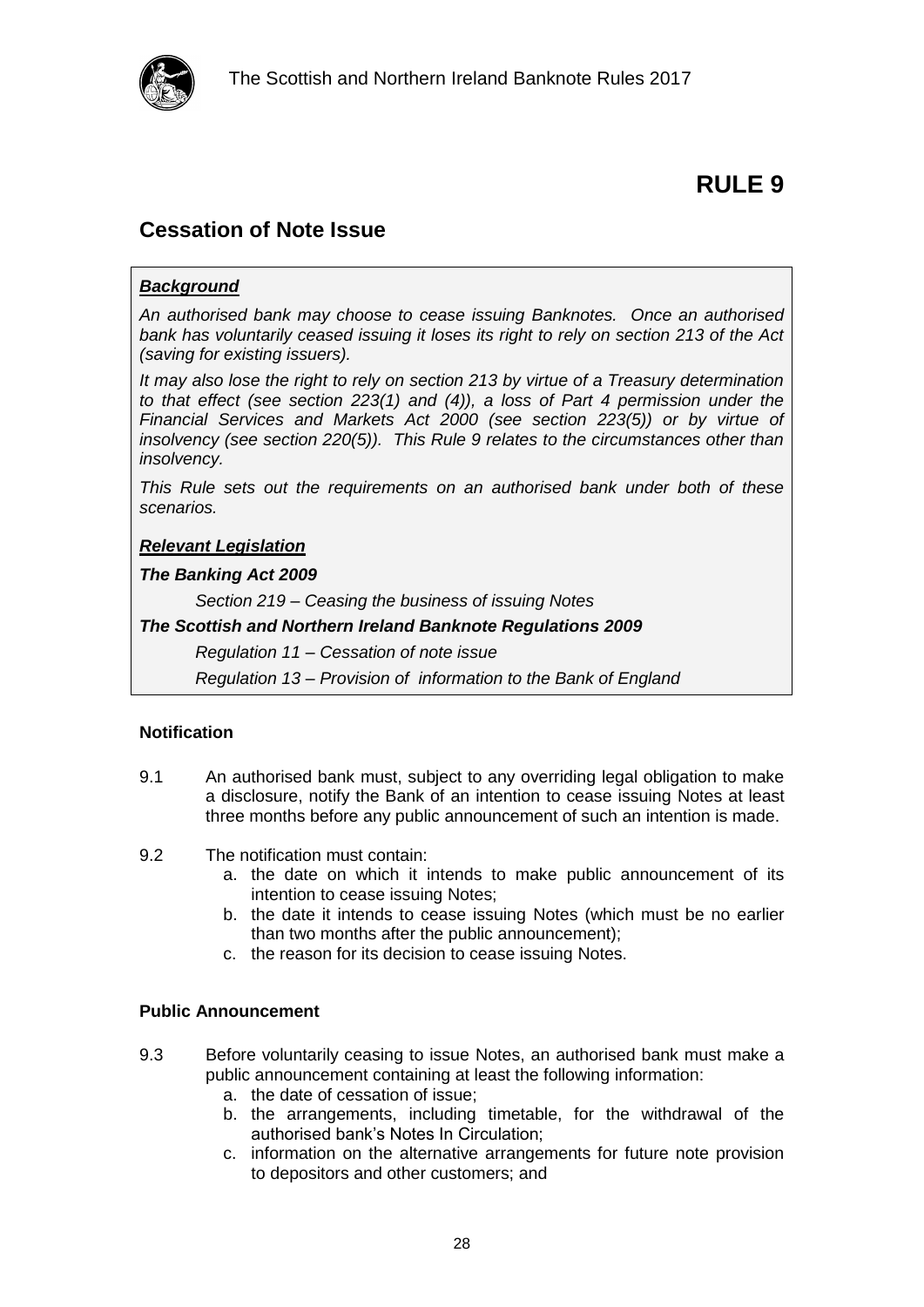

### <span id="page-27-1"></span><span id="page-27-0"></span>**Cessation of Note Issue**

#### *Background*

*An authorised bank may choose to cease issuing Banknotes. Once an authorised bank has voluntarily ceased issuing it loses its right to rely on section 213 of the Act (saving for existing issuers).* 

*It may also lose the right to rely on section 213 by virtue of a Treasury determination to that effect (see section 223(1) and (4)), a loss of Part 4 permission under the Financial Services and Markets Act 2000 (see section 223(5)) or by virtue of insolvency (see section 220(5)). This Rule 9 relates to the circumstances other than insolvency.*

*This Rule sets out the requirements on an authorised bank under both of these scenarios.*

#### *Relevant Legislation*

#### *The Banking Act 2009*

*Section 219 – Ceasing the business of issuing Notes*

#### *The Scottish and Northern Ireland Banknote Regulations 2009*

*Regulation 11 – Cessation of note issue*

*Regulation 13 – Provision of information to the Bank of England*

#### <span id="page-27-2"></span>**Notification**

- 9.1 An authorised bank must, subject to any overriding legal obligation to make a disclosure, notify the Bank of an intention to cease issuing Notes at least three months before any public announcement of such an intention is made.
- 9.2 The notification must contain:
	- a. the date on which it intends to make public announcement of its intention to cease issuing Notes;
	- b. the date it intends to cease issuing Notes (which must be no earlier than two months after the public announcement);
	- c. the reason for its decision to cease issuing Notes.

#### <span id="page-27-3"></span>**Public Announcement**

- 9.3 Before voluntarily ceasing to issue Notes, an authorised bank must make a public announcement containing at least the following information:
	- a. the date of cessation of issue;
	- b. the arrangements, including timetable, for the withdrawal of the authorised bank's Notes In Circulation;
	- c. information on the alternative arrangements for future note provision to depositors and other customers; and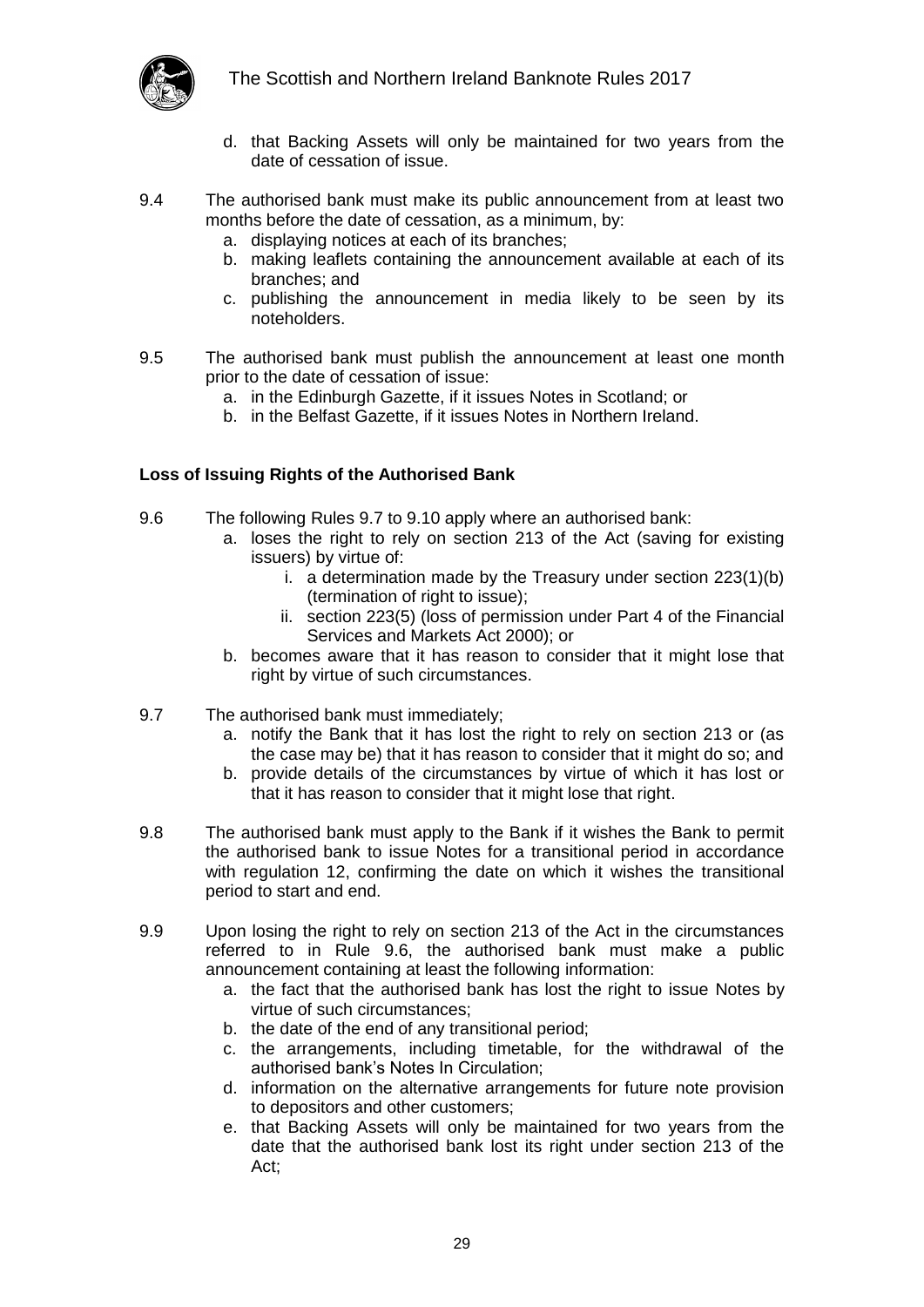

- d. that Backing Assets will only be maintained for two years from the date of cessation of issue.
- 9.4 The authorised bank must make its public announcement from at least two months before the date of cessation, as a minimum, by:
	- a. displaying notices at each of its branches;
	- b. making leaflets containing the announcement available at each of its branches; and
	- c. publishing the announcement in media likely to be seen by its noteholders.
- 9.5 The authorised bank must publish the announcement at least one month prior to the date of cessation of issue:
	- a. in the Edinburgh Gazette, if it issues Notes in Scotland; or
	- b. in the Belfast Gazette, if it issues Notes in Northern Ireland.

#### <span id="page-28-0"></span>**Loss of Issuing Rights of the Authorised Bank**

- <span id="page-28-2"></span>9.6 The following Rules [9.7](#page-28-1) to [9.10](#page-29-1) apply where an authorised bank:
	- a. loses the right to rely on section 213 of the Act (saving for existing issuers) by virtue of:
		- i. a determination made by the Treasury under section  $223(1)(b)$ (termination of right to issue);
		- ii. section 223(5) (loss of permission under Part 4 of the Financial Services and Markets Act 2000); or
	- b. becomes aware that it has reason to consider that it might lose that right by virtue of such circumstances.
- <span id="page-28-1"></span>9.7 The authorised bank must immediately;
	- a. notify the Bank that it has lost the right to rely on section 213 or (as the case may be) that it has reason to consider that it might do so; and
	- b. provide details of the circumstances by virtue of which it has lost or that it has reason to consider that it might lose that right.
- 9.8 The authorised bank must apply to the Bank if it wishes the Bank to permit the authorised bank to issue Notes for a transitional period in accordance with regulation 12, confirming the date on which it wishes the transitional period to start and end.
- 9.9 Upon losing the right to rely on section 213 of the Act in the circumstances referred to in Rule [9.6,](#page-28-2) the authorised bank must make a public announcement containing at least the following information:
	- a. the fact that the authorised bank has lost the right to issue Notes by virtue of such circumstances;
	- b. the date of the end of any transitional period;
	- c. the arrangements, including timetable, for the withdrawal of the authorised bank's Notes In Circulation;
	- d. information on the alternative arrangements for future note provision to depositors and other customers;
	- e. that Backing Assets will only be maintained for two years from the date that the authorised bank lost its right under section 213 of the Act;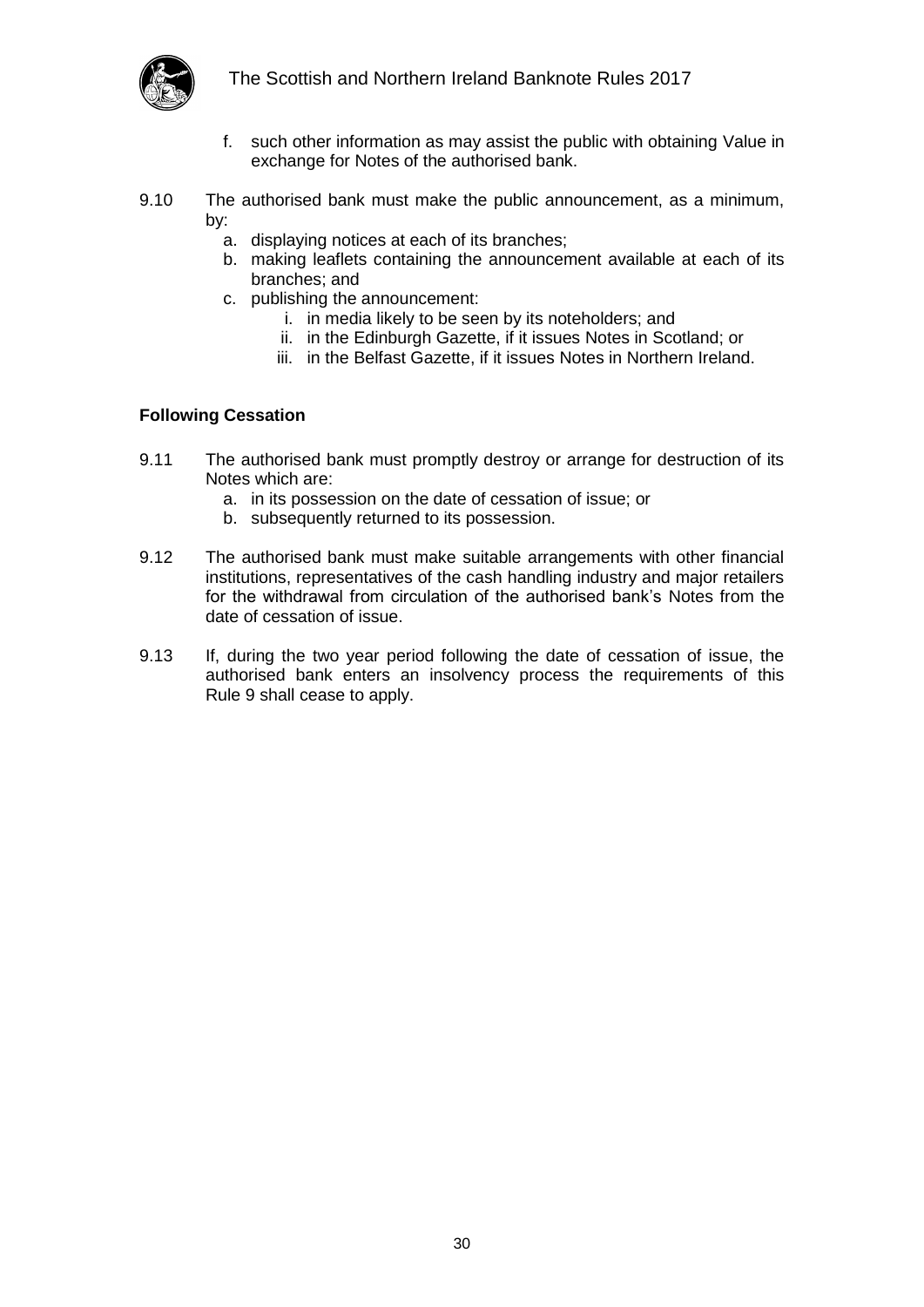

- f. such other information as may assist the public with obtaining Value in exchange for Notes of the authorised bank.
- <span id="page-29-1"></span>9.10 The authorised bank must make the public announcement, as a minimum, by:
	- a. displaying notices at each of its branches;
	- b. making leaflets containing the announcement available at each of its branches; and
	- c. publishing the announcement:
		- i. in media likely to be seen by its noteholders; and
		- ii. in the Edinburgh Gazette, if it issues Notes in Scotland; or
		- iii. in the Belfast Gazette, if it issues Notes in Northern Ireland.

#### <span id="page-29-0"></span>**Following Cessation**

- 9.11 The authorised bank must promptly destroy or arrange for destruction of its Notes which are:
	- a. in its possession on the date of cessation of issue; or
	- b. subsequently returned to its possession.
- 9.12 The authorised bank must make suitable arrangements with other financial institutions, representatives of the cash handling industry and major retailers for the withdrawal from circulation of the authorised bank's Notes from the date of cessation of issue.
- 9.13 If, during the two year period following the date of cessation of issue, the authorised bank enters an insolvency process the requirements of this Rule 9 shall cease to apply.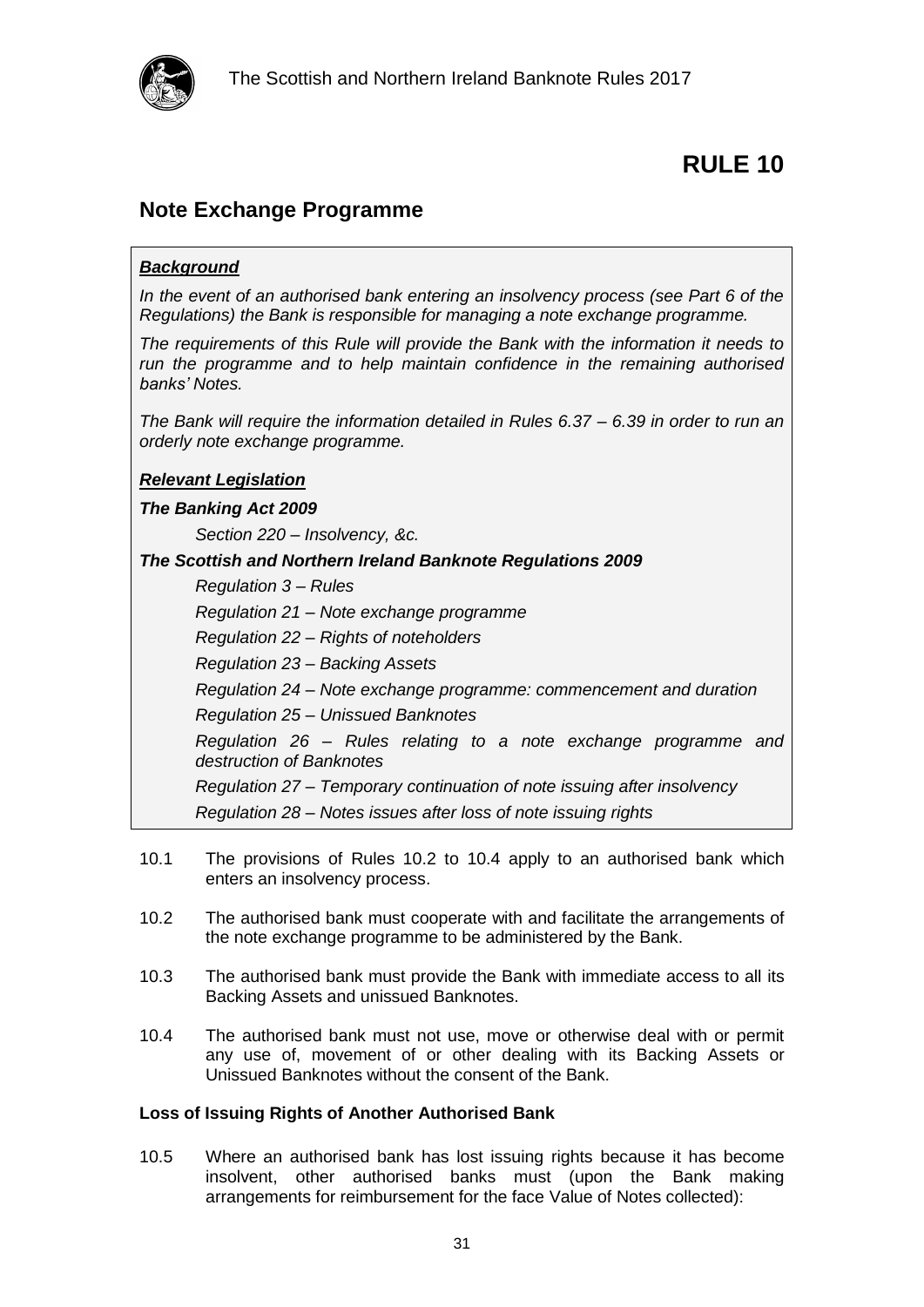

### <span id="page-30-1"></span><span id="page-30-0"></span>**Note Exchange Programme**

#### *Background*

*In the event of an authorised bank entering an insolvency process (see Part 6 of the Regulations) the Bank is responsible for managing a note exchange programme.* 

*The requirements of this Rule will provide the Bank with the information it needs to run the programme and to help maintain confidence in the remaining authorised banks' Notes.*

*The Bank will require the information detailed in Rules 6.37 – 6.39 in order to run an orderly note exchange programme.*

#### *Relevant Legislation*

#### *The Banking Act 2009*

*Section 220 – Insolvency, &c.*

#### *The Scottish and Northern Ireland Banknote Regulations 2009*

*Regulation 3 – Rules*

*Regulation 21 – Note exchange programme*

*Regulation 22 – Rights of noteholders*

*Regulation 23 – Backing Assets*

*Regulation 24 – Note exchange programme: commencement and duration*

*Regulation 25 – Unissued Banknotes*

*Regulation 26 – Rules relating to a note exchange programme and destruction of Banknotes*

*Regulation 27 – Temporary continuation of note issuing after insolvency Regulation 28 – Notes issues after loss of note issuing rights*

- 10.1 The provisions of Rules [10.2](#page-30-3) to [10.4](#page-30-4) apply to an authorised bank which enters an insolvency process.
- <span id="page-30-3"></span>10.2 The authorised bank must cooperate with and facilitate the arrangements of the note exchange programme to be administered by the Bank.
- 10.3 The authorised bank must provide the Bank with immediate access to all its Backing Assets and unissued Banknotes.
- <span id="page-30-4"></span>10.4 The authorised bank must not use, move or otherwise deal with or permit any use of, movement of or other dealing with its Backing Assets or Unissued Banknotes without the consent of the Bank.

#### <span id="page-30-2"></span>**Loss of Issuing Rights of Another Authorised Bank**

10.5 Where an authorised bank has lost issuing rights because it has become insolvent, other authorised banks must (upon the Bank making arrangements for reimbursement for the face Value of Notes collected):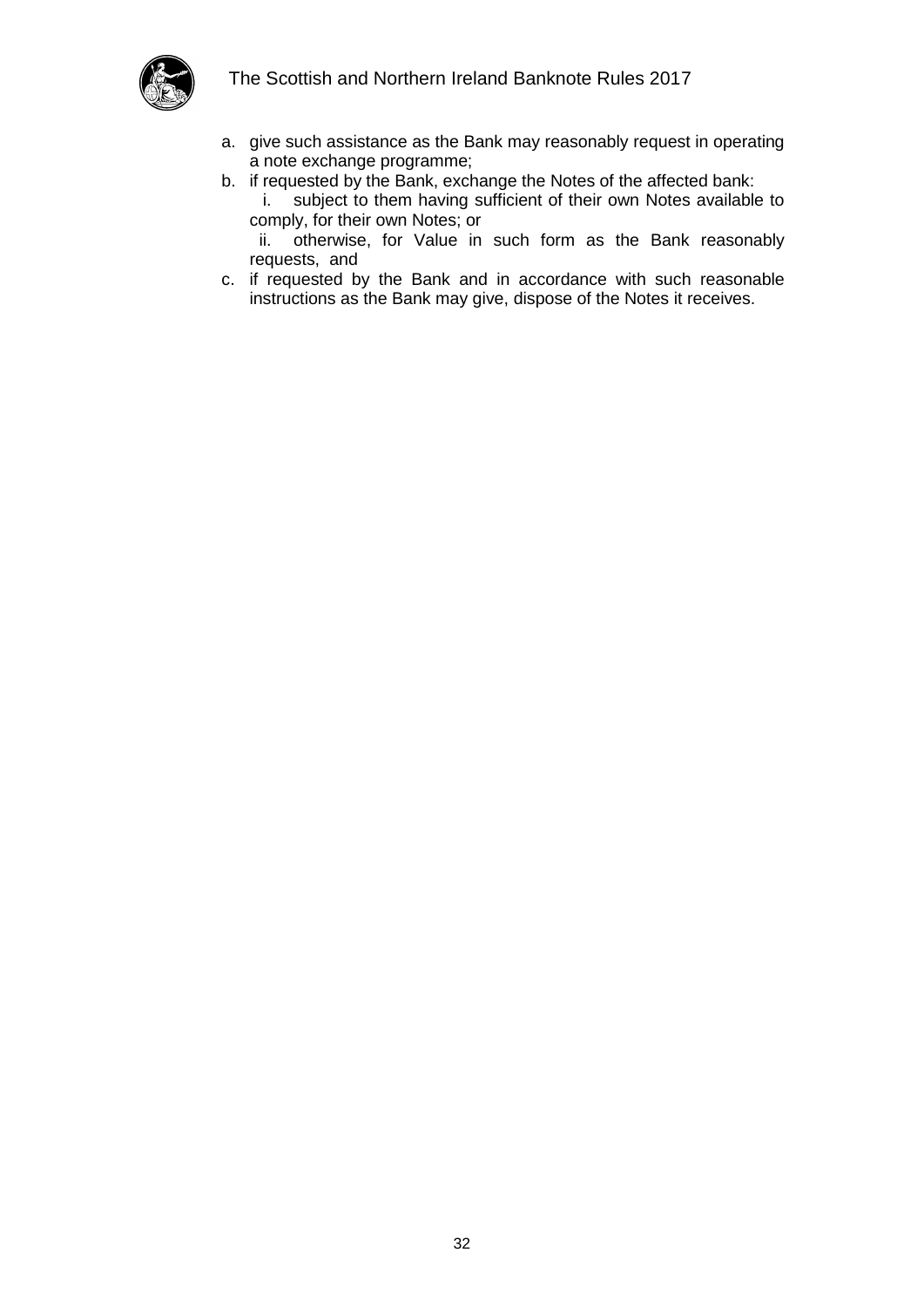

- a. give such assistance as the Bank may reasonably request in operating a note exchange programme;
- b. if requested by the Bank, exchange the Notes of the affected bank: i. subject to them having sufficient of their own Notes available to comply, for their own Notes; or ii. otherwise, for Value in such form as the Bank reasonably
- requests, and c. if requested by the Bank and in accordance with such reasonable instructions as the Bank may give, dispose of the Notes it receives.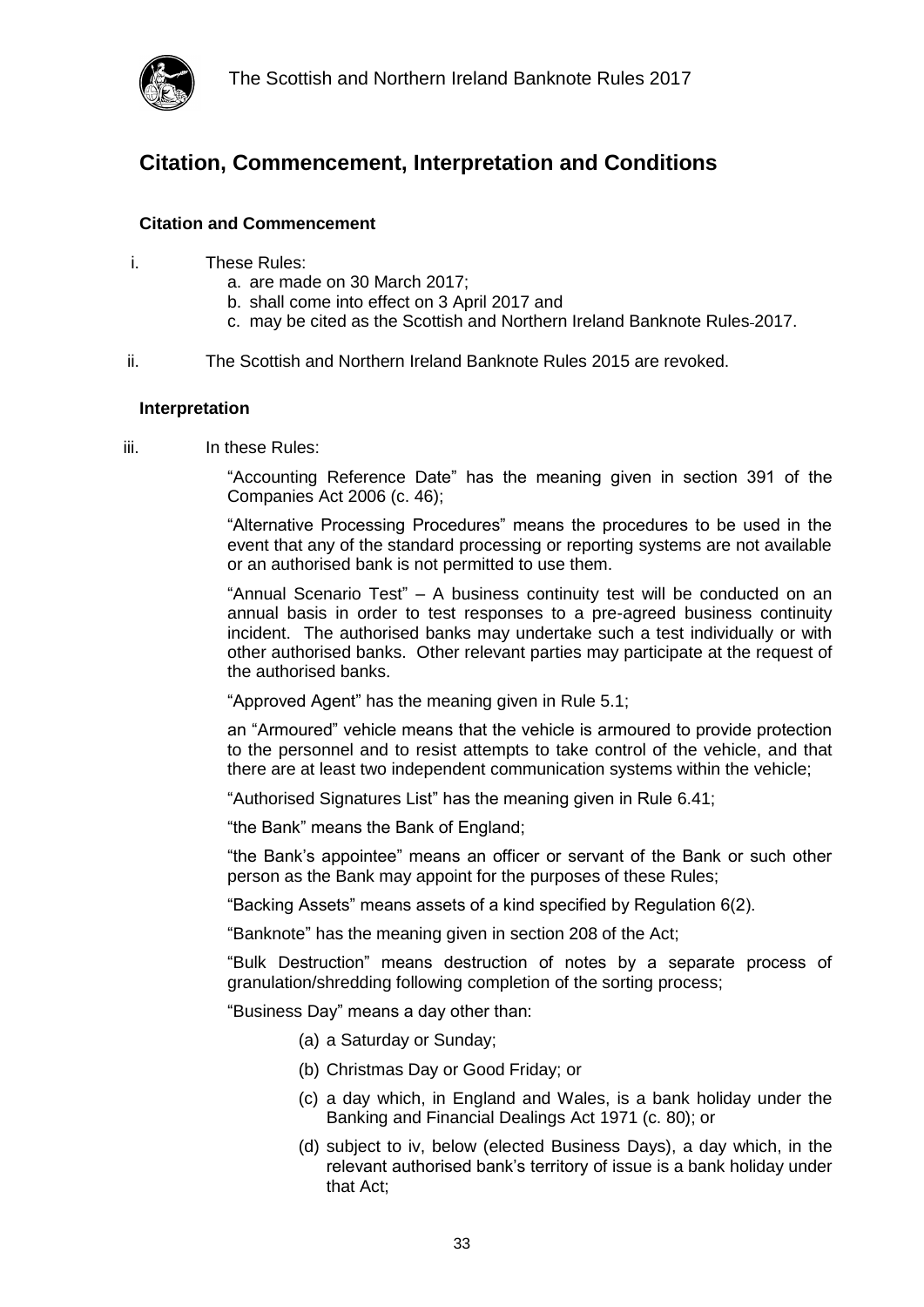

### <span id="page-32-0"></span>**Citation, Commencement, Interpretation and Conditions**

#### <span id="page-32-1"></span>**Citation and Commencement**

- i. These Rules:
	- a. are made on 30 March 2017;
	- b. shall come into effect on 3 April 2017 and
	- c. may be cited as the Scottish and Northern Ireland Banknote Rules 2017.
- ii. The Scottish and Northern Ireland Banknote Rules 2015 are revoked.

#### <span id="page-32-2"></span>**Interpretation**

iii. In these Rules:

"Accounting Reference Date" has the meaning given in section 391 of the Companies Act 2006 (c. 46);

"Alternative Processing Procedures" means the procedures to be used in the event that any of the standard processing or reporting systems are not available or an authorised bank is not permitted to use them.

"Annual Scenario Test" – A business continuity test will be conducted on an annual basis in order to test responses to a pre-agreed business continuity incident. The authorised banks may undertake such a test individually or with other authorised banks. Other relevant parties may participate at the request of the authorised banks.

"Approved Agent" has the meaning given in Rule 5.1;

an "Armoured" vehicle means that the vehicle is armoured to provide protection to the personnel and to resist attempts to take control of the vehicle, and that there are at least two independent communication systems within the vehicle;

"Authorised Signatures List" has the meaning given in Rule [6.41;](#page-23-3)

"the Bank" means the Bank of England;

"the Bank's appointee" means an officer or servant of the Bank or such other person as the Bank may appoint for the purposes of these Rules;

"Backing Assets" means assets of a kind specified by Regulation 6(2).

"Banknote" has the meaning given in section 208 of the Act;

"Bulk Destruction" means destruction of notes by a separate process of granulation/shredding following completion of the sorting process;

"Business Day" means a day other than:

- (a) a Saturday or Sunday;
- (b) Christmas Day or Good Friday; or
- (c) a day which, in England and Wales, is a bank holiday under the Banking and Financial Dealings Act 1971 (c. 80); or
- (d) subject to iv, below (elected Business Days), a day which, in the relevant authorised bank's territory of issue is a bank holiday under that Act;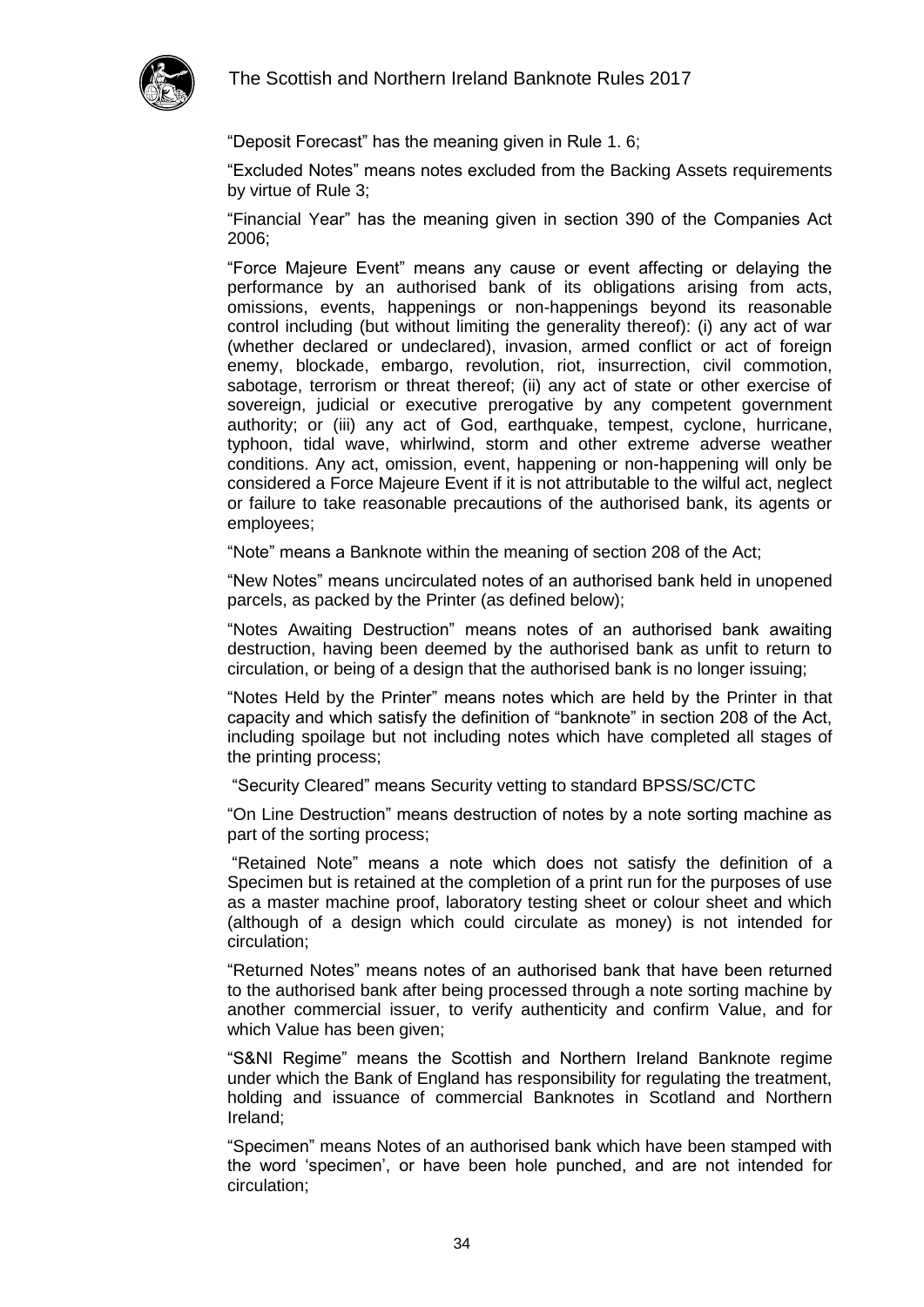

"Deposit Forecast" has the meaning given in Rule [1. 6;](#page-5-3)

"Excluded Notes" means notes excluded from the Backing Assets requirements by virtue of Rule 3;

"Financial Year" has the meaning given in section 390 of the Companies Act 2006;

"Force Majeure Event" means any cause or event affecting or delaying the performance by an authorised bank of its obligations arising from acts, omissions, events, happenings or non-happenings beyond its reasonable control including (but without limiting the generality thereof): (i) any act of war (whether declared or undeclared), invasion, armed conflict or act of foreign enemy, blockade, embargo, revolution, riot, insurrection, civil commotion, sabotage, terrorism or threat thereof; (ii) any act of state or other exercise of sovereign, judicial or executive prerogative by any competent government authority; or (iii) any act of God, earthquake, tempest, cyclone, hurricane, typhoon, tidal wave, whirlwind, storm and other extreme adverse weather conditions. Any act, omission, event, happening or non-happening will only be considered a Force Majeure Event if it is not attributable to the wilful act, neglect or failure to take reasonable precautions of the authorised bank, its agents or employees;

"Note" means a Banknote within the meaning of section 208 of the Act;

"New Notes" means uncirculated notes of an authorised bank held in unopened parcels, as packed by the Printer (as defined below);

"Notes Awaiting Destruction" means notes of an authorised bank awaiting destruction, having been deemed by the authorised bank as unfit to return to circulation, or being of a design that the authorised bank is no longer issuing;

"Notes Held by the Printer" means notes which are held by the Printer in that capacity and which satisfy the definition of "banknote" in section 208 of the Act, including spoilage but not including notes which have completed all stages of the printing process;

"Security Cleared" means Security vetting to standard BPSS/SC/CTC

"On Line Destruction" means destruction of notes by a note sorting machine as part of the sorting process;

"Retained Note" means a note which does not satisfy the definition of a Specimen but is retained at the completion of a print run for the purposes of use as a master machine proof, laboratory testing sheet or colour sheet and which (although of a design which could circulate as money) is not intended for circulation;

"Returned Notes" means notes of an authorised bank that have been returned to the authorised bank after being processed through a note sorting machine by another commercial issuer, to verify authenticity and confirm Value, and for which Value has been given;

"S&NI Regime" means the Scottish and Northern Ireland Banknote regime under which the Bank of England has responsibility for regulating the treatment, holding and issuance of commercial Banknotes in Scotland and Northern Ireland;

"Specimen" means Notes of an authorised bank which have been stamped with the word 'specimen', or have been hole punched, and are not intended for circulation;